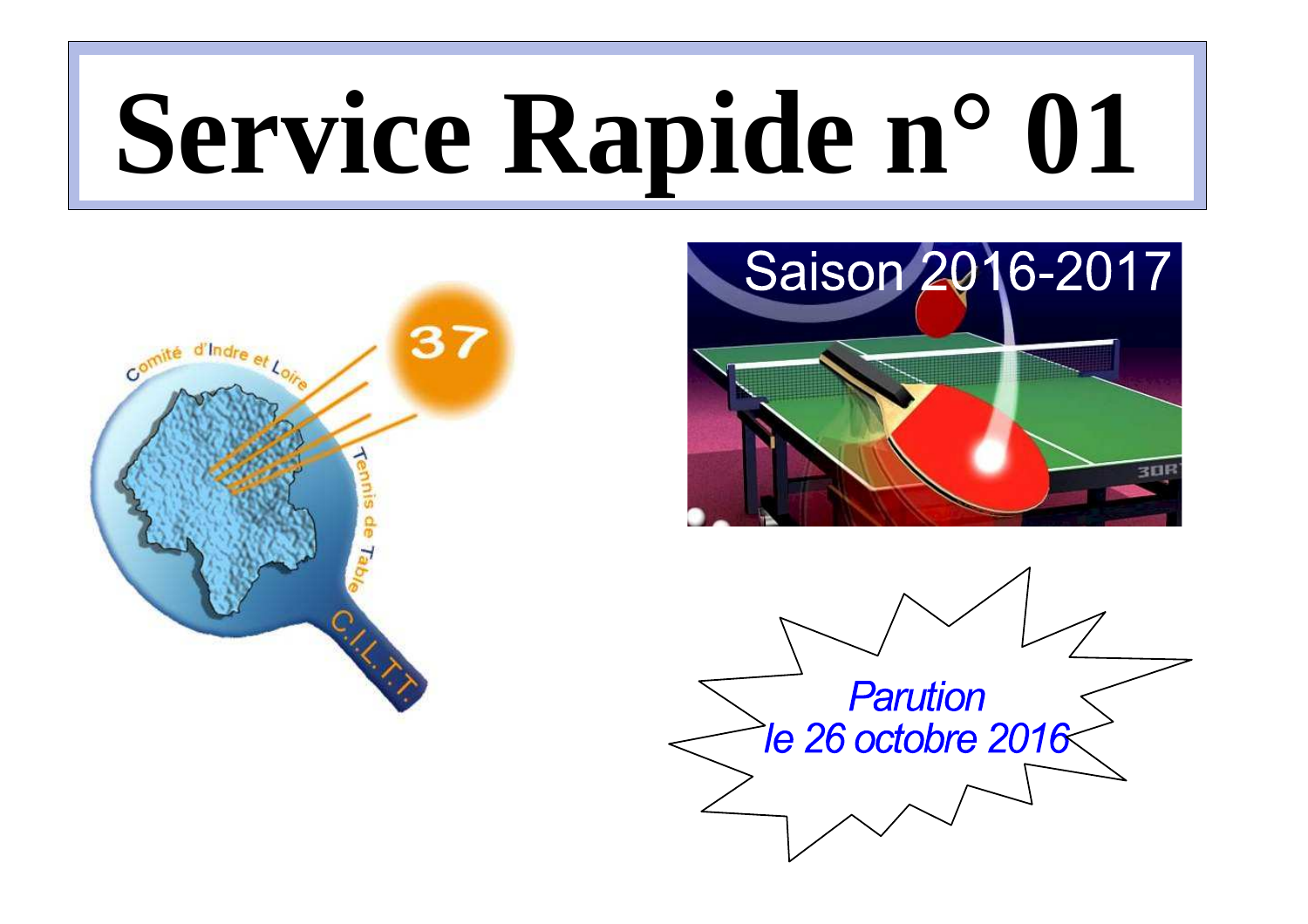# **Service Rapide n° 01**





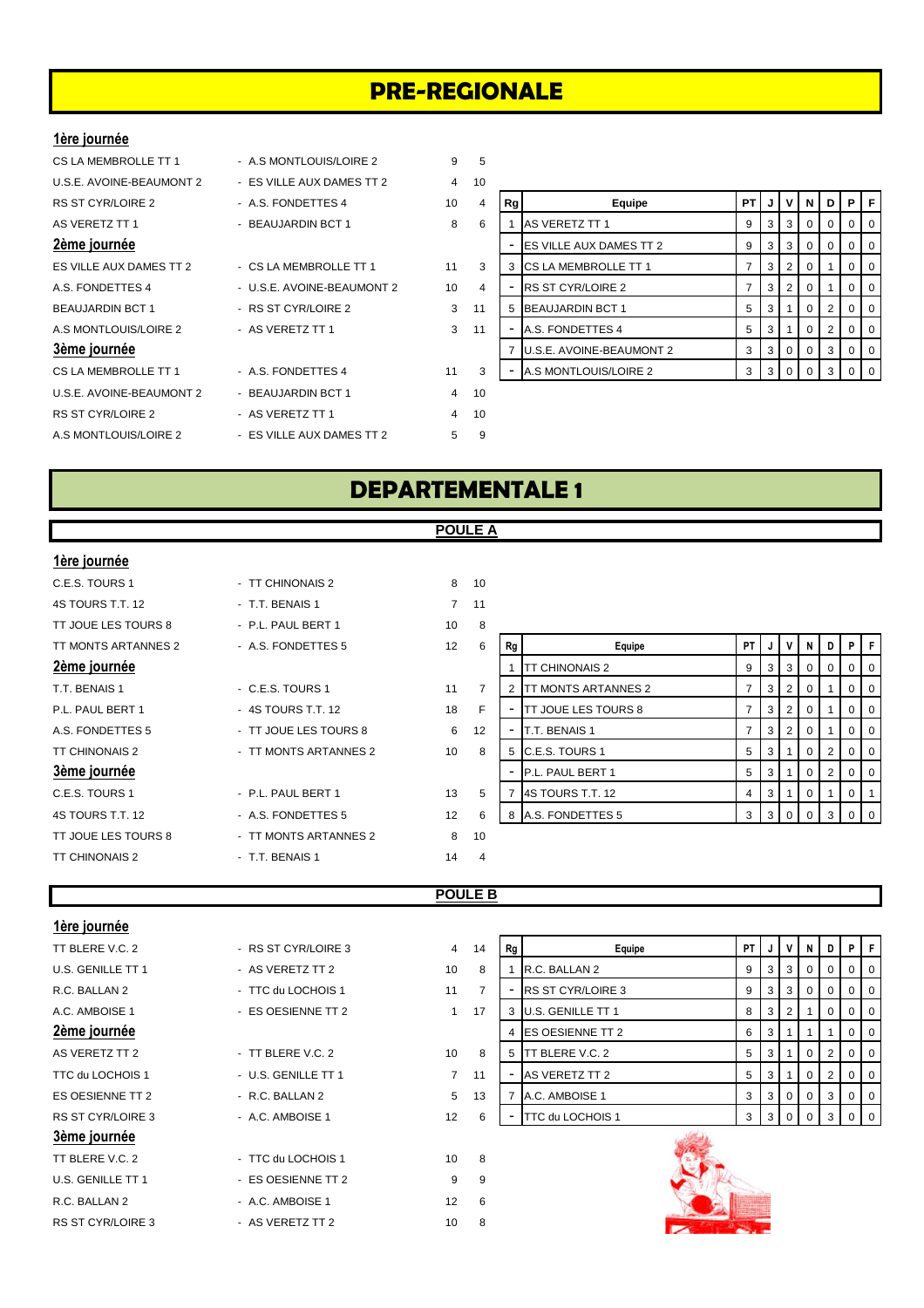# **PRE-REGIONALE**

#### **1ère journée**

- 
- 
- 

- 
- 
- 
- 

U.S.E. AVOINE-BEAUMONT 2 - BEAUJARDIN BCT 1 4 10 RS ST CYR/LOIRE 2 - AS VERETZ TT 1 4 10 A.S MONTLOUIS/LOIRE 2 - ES VILLE AUX DAMES TT 2 5 9

- CS LA MEMBROLLE TT 1 A.S MONTLOUIS/LOIRE 2 9 5
- U.S.E. AVOINE-BEAUMONT 2 ES VILLE AUX DAMES TT 2 4 10
	-
	-
	-
	-
	-
	-
	- -
	-
- RS ST CYR/LOIRE 2 A.S. FONDETTES 4 10 4 **Rg** Equipe **PT J V N D P F** AS VERETZ TT 1 - BEAUJARDIN BCT 1 8 6 1 AS VERETZ TT 1 9 3 3 0 0 0 0 0 **2ème journée** - Alle de la propone de la propone de la propone de la propone de la propone de la propone de la p ES VILLE AUX DAMES TT 2 - CS LA MEMBROLLE TT 1 11 3 3 CS LA MEMBROLLE TT 1  $\vert 7 \vert 3 \vert 2 \vert 0 \vert 1 \vert 0 \vert 0$ A.S. FONDETTES 4 - U.S.E. AVOINE-BEAUMONT 2 10 4 - RS ST CYR/LOIRE 2 7 3 2 0 1 0 0 0 BEAUJARDIN BCT 1 - RS ST CYR/LOIRE 2 3 11 5 BEAUJARDIN BCT 1 5 3 1 0 2 0 0 0 A.S MONTLOUIS/LOIRE 2 - AS VERETZ TT 1 3 11 - A.S. FONDETTES 4 5 3 1 0 0 2 0 0 **3ème journée** 7 U.S.E. AVOINE-BEAUMONT 2 3 3 0 0 3 0 0 CS LA MEMBROLLE TT 1 - A.S. FONDETTES 4 11 3 - A.S MONTLOUIS/LOIRE 2 3 3 0 0 3 0

# **DEPARTEMENTALE 1**

**POULE A**

#### **1ère journée**

| 4S TOURS T.T. 12      | - T.T. BENAIS 1       | 7  | 11             |
|-----------------------|-----------------------|----|----------------|
| TT JOUE LES TOURS 8   | - P.L. PAUL BERT 1    | 10 | 8              |
| TT MONTS ARTANNES 2   | - A.S. FONDETTES 5    | 12 | 6              |
| 2ème journée          |                       |    |                |
| T.T. BENAIS 1         | - C.E.S. TOURS 1      | 11 | $\overline{7}$ |
| P.L. PAUL BERT 1      | - 4S TOURS T.T. 12    | 18 | F              |
| A.S. FONDETTES 5      | - TT JOUE LES TOURS 8 | 6  | 12             |
| <b>TT CHINONAIS 2</b> | - TT MONTS ARTANNES 2 | 10 | 8              |
| 3ème journée          |                       |    |                |
| C.E.S. TOURS 1        | - P.L. PAUL BERT 1    | 13 | 5              |
| 4S TOURS T.T. 12      | - A.S. FONDETTES 5    | 12 | 6              |
| TT JOUE LES TOURS 8   | - TT MONTS ARTANNES 2 | 8  | 10             |
| <b>TT CHINONAIS 2</b> | - T.T. BENAIS 1       | 14 | $\overline{4}$ |

| C.E.S. TOURS 1        | - TT CHINONAIS 2      | 8                 | 10             |
|-----------------------|-----------------------|-------------------|----------------|
| 4S TOURS T.T. 12      | - T.T. BENAIS 1       | $\overline{7}$    | 11             |
| TT JOUE LES TOURS 8   | - P.L. PAUL BERT 1    | 10                | 8              |
| TT MONTS ARTANNES 2   | - A.S. FONDETTES 5    | $12 \overline{ }$ | 6              |
| 2ème journée          |                       |                   |                |
| T.T. BENAIS 1         | - C.E.S. TOURS 1      | 11                | $\overline{7}$ |
| P.L. PAUL BERT 1      | $-4S$ TOURS T.T. 12   | 18                | F              |
| A.S. FONDETTES 5      | - TT JOUE LES TOURS 8 | 6                 | 12             |
| <b>TT CHINONAIS 2</b> | - TT MONTS ARTANNES 2 | 10                | 8              |
| 3ème journée          |                       |                   |                |
| C.E.S. TOURS 1        | - P.L. PAUL BERT 1    | 13                | 5              |
| 4S TOURS T.T. 12      | - A.S. FONDETTES 5    | 12                | 6              |
| TT JOUE LES TOURS 8   | - TT MONTS ARTANNES 2 | 8                 | 10             |
|                       |                       |                   |                |

| TT JUUL LLJ TUUNJ 0 | F.E.FAULBENI          | 1 V               | $\mathbf{c}$ |    |                               |      |   |     |            |   |                |                |
|---------------------|-----------------------|-------------------|--------------|----|-------------------------------|------|---|-----|------------|---|----------------|----------------|
| TT MONTS ARTANNES 2 | - A.S. FONDETTES 5    | 12                | 6            | Rg | Equipe                        | PT I |   |     | N          | D | PF             |                |
| 2ème journée        |                       |                   |              |    | TT CHINONAIS 2                | 9    | 3 | - 3 | $^{\circ}$ | 0 | $0$   $0$      |                |
| T.T. BENAIS 1       | $-$ C.E.S. TOURS 1    | 11                |              |    | 2 <b>ITT MONTS ARTANNES 2</b> |      | 3 | 2   |            |   |                | $0$   $0$      |
| P.L. PAUL BERT 1    | - 4S TOURS T.T. 12    | 18                | F            |    | <b>TT JOUE LES TOURS 8</b>    |      | 3 | 2   | $\Omega$   |   |                | $01$ 0         |
| A.S. FONDETTES 5    | - TT JOUE LES TOURS 8 | 6                 | 12           |    | T.T. BENAIS 1                 |      | 3 | -2  | $\Omega$   |   |                | 0 <sub>0</sub> |
| TT CHINONAIS 2      | - TT MONTS ARTANNES 2 | 10                | 8            |    | 5 C.E.S. TOURS 1              | 5    | 3 |     | 0          |   |                | $0$   $0$      |
| 3ème journée        |                       |                   |              |    | <b>P.L. PAUL BERT 1</b>       | 5    | 3 |     | $\Omega$   |   |                | 0 <sub>0</sub> |
| C.E.S. TOURS 1      | - P.L. PAUL BERT 1    | 13                | 5            |    | 4S TOURS T.T. 12              | 4    | 3 |     | 0          |   | 0 <sup>1</sup> |                |
| 4S TOURS T.T. 12    | - A.S. FONDETTES 5    | $12 \overline{ }$ | 6            |    | 8 A.S. FONDETTES 5            | 3    |   |     |            |   |                | $0$   0        |
| TT JOUE LES TOURS 8 | - TT MONTS ARTANNES 2 | 8                 | 10           |    |                               |      |   |     |            |   |                |                |

#### **POULE B**

| 1ère journée             |                     |                |                |    |                          |           |   |              |                |             |   |   |
|--------------------------|---------------------|----------------|----------------|----|--------------------------|-----------|---|--------------|----------------|-------------|---|---|
| TT BLERE V.C. 2          | - RS ST CYR/LOIRE 3 | $\overline{4}$ | 14             | Rg | Equipe                   | <b>PT</b> |   |              | N              | D           |   |   |
| U.S. GENILLE TT 1        | - AS VERETZ TT 2    | 10             | 8              |    | R.C. BALLAN 2            | 9         | 3 | 3            | 0 <sup>1</sup> | $\mathbf 0$ | 0 |   |
| R.C. BALLAN 2            | - TTC du LOCHOIS 1  | 11             | $\overline{7}$ |    | <b>RS ST CYR/LOIRE 3</b> | 9         | 3 | 3            | 0              |             |   |   |
| A.C. AMBOISE 1           | - ES OESIENNE TT 2  | $\mathbf{1}$   | 17             |    | 3 U.S. GENILLE TT 1      | 8         | 3 | 2            |                | 0           |   |   |
| 2ème journée             |                     |                |                |    | <b>ES OESIENNE TT 2</b>  | 6         | 3 |              |                |             | 0 | O |
| AS VERETZ TT 2           | - TT BLERE V.C. 2   | 10             | 8              | 5  | <b>TT BLERE V.C. 2</b>   | 5         | 3 |              | 0              | 2           | 0 |   |
| TTC du LOCHOIS 1         | - U.S. GENILLE TT 1 | $7^{\circ}$    | 11             |    | AS VERETZ TT 2           | 5         | 3 |              | $\overline{0}$ | 2           | 0 |   |
| ES OESIENNE TT 2         | - R.C. BALLAN 2     | 5              | 13             |    | A.C. AMBOISE 1           | 3         | 3 | $\mathbf{0}$ | 0 <sup>1</sup> | 3           | 0 |   |
| <b>RS ST CYR/LOIRE 3</b> | - A.C. AMBOISE 1    | 12             | 6              |    | TTC du LOCHOIS 1         | 3         | 3 | $\Omega$     | $\Omega$       | 3           |   |   |
| 3ème journée             |                     |                |                |    |                          |           |   |              |                |             |   |   |
| TT BLERE V.C. 2          | - TTC du LOCHOIS 1  | 10             | 8              |    |                          |           |   |              |                |             |   |   |
| U.S. GENILLE TT 1        | - ES OESIENNE TT 2  | 9              | 9              |    |                          |           |   |              |                |             |   |   |
| R.C. BALLAN 2            | - A.C. AMBOISE 1    | 12             | 6              |    |                          |           |   |              |                |             |   |   |
| <b>RS ST CYR/LOIRE 3</b> | - AS VERETZ TT 2    | 10             | 8              |    |                          |           |   |              |                |             |   |   |

| 14 | Rg | Equipe                   | PT | J | ٧ | N        | D        | P        | F        |
|----|----|--------------------------|----|---|---|----------|----------|----------|----------|
| 8  | 1  | R.C. BALLAN 2            | 9  | 3 | 3 | 0        | 0        | 0        | 0        |
| 7  |    | <b>RS ST CYR/LOIRE 3</b> | 9  | 3 | 3 | 0        | $\Omega$ | 0        | 0        |
| 17 | 3  | U.S. GENILLE TT 1        | 8  | 3 | 2 |          | 0        | $\Omega$ | 0        |
|    | 4  | ES OESIENNE TT 2         | 6  | 3 | 1 |          |          | $\Omega$ | 0        |
| 8  | 5  | TT BLERE V.C. 2          | 5  | 3 | 1 | 0        | 2        | $\Omega$ | $\Omega$ |
| 11 |    | AS VERETZ TT 2           | 5  | 3 | 1 | $\Omega$ | 2        | $\Omega$ | $\Omega$ |
| 13 | 7  | A.C. AMBOISE 1           | 3  | 3 | 0 | 0        | 3        | $\Omega$ | 0        |
| 6  |    | TTC du LOCHOIS 1         | 3  | 3 | 0 | ი        | 3        |          | $\Omega$ |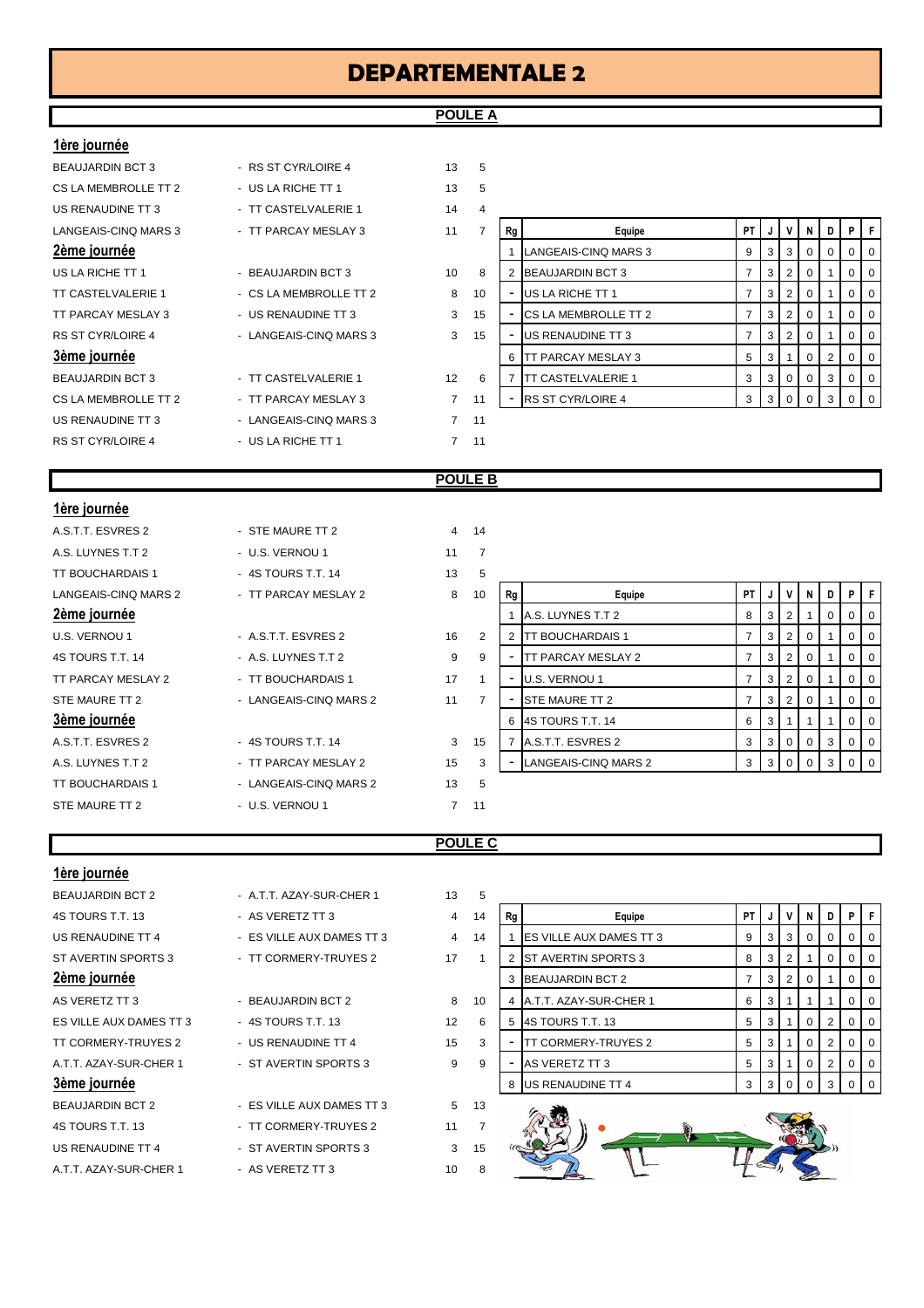## **POULE A**

#### **1ère journée**

| <b>IVIV JUMIIIVV</b>     |                        |                |                |
|--------------------------|------------------------|----------------|----------------|
| <b>BEAUJARDIN BCT 3</b>  | - RS ST CYR/LOIRE 4    | 13             | 5              |
| CS LA MEMBROLLE TT 2     | - US LA RICHE TT 1     | 13             | 5              |
| US RENAUDINE TT 3        | - TT CASTELVALERIE 1   | 14             | 4              |
| LANGEAIS-CINQ MARS 3     | - TT PARCAY MESLAY 3   | 11             | $\overline{7}$ |
| 2ème journée             |                        |                |                |
| US LA RICHE TT 1         | - BEAUJARDIN BCT 3     | 10             | 8              |
| TT CASTELVALERIE 1       | - CS LA MEMBROLLE TT 2 | 8              | 10             |
| TT PARCAY MESLAY 3       | - US RENAUDINE TT 3    | 3              | 15             |
| <b>RS ST CYR/LOIRE 4</b> | - LANGEAIS-CINQ MARS 3 | 3              | 15             |
| 3ème journée             |                        |                |                |
| <b>BEAUJARDIN BCT 3</b>  | - TT CASTELVALERIE 1   | 12             | 6              |
| CS LA MEMBROLLE TT 2     | - TT PARCAY MESLAY 3   | $\overline{7}$ | 11             |
| US RENAUDINE TT 3        | - LANGEAIS-CINQ MARS 3 | 7              | 11             |
| <b>RS ST CYR/LOIRE 4</b> | - US LA RICHE TT 1     | 7              | 11             |
|                          |                        |                |                |

| US RENAUDINE TT 3                                                    | - TT CASTELVALERIE 1    | 14                |    |    |                             |    |                |          |   |   |                |                |
|----------------------------------------------------------------------|-------------------------|-------------------|----|----|-----------------------------|----|----------------|----------|---|---|----------------|----------------|
| LANGEAIS-CINQ MARS 3                                                 | - TT PARCAY MESLAY 3    | 11                |    | Rg | Equipe                      | PT | J              | V        | N | D | P I            | F              |
| 2ème journée                                                         |                         |                   |    |    | LANGEAIS-CINQ MARS 3        |    | 3              | -3       |   | 0 | $\overline{0}$ | $\overline{0}$ |
| US LA RICHE TT 1                                                     | - BEAUJARDIN BCT 3      | 10                | 8  |    | <b>BEAUJARDIN BCT 3</b>     |    | 3 <sup>1</sup> |          |   |   | $\overline{0}$ | $\overline{0}$ |
| TT CASTELVALERIE 1                                                   | - CS LA MEMBROLLE TT 2  | 8                 | 10 |    | US LA RICHE TT 1            |    | 3 <sup>1</sup> |          |   |   | $\overline{0}$ | $\overline{0}$ |
| TT PARCAY MESLAY 3                                                   | - US RENAUDINE TT 3     | 3                 | 15 |    | <b>CS LA MEMBROLLE TT 2</b> |    | 3 <sup>1</sup> | - 21     |   |   | $\overline{0}$ | $\overline{0}$ |
| RS ST CYR/LOIRE 4                                                    | - LANGEAIS-CINQ MARS 3  | 3                 | 15 |    | US RENAUDINE TT 3           |    | 3              |          |   |   | $\Omega$       | $^{\circ}$ 0   |
| 3ème journée                                                         |                         |                   |    | 6  | TT PARCAY MESLAY 3          | 5  | 3              |          |   |   | $\overline{0}$ | $\overline{0}$ |
| BEAUJARDIN BCT 3                                                     | - TT CASTELVALERIE 1    | $12 \overline{ }$ | 6  |    | <b>TT CASTELVALERIE 1</b>   | 3  | 3 <sup>1</sup> | $\Omega$ |   | 3 | $\overline{0}$ | $\overline{0}$ |
| CS LA MEMBROLLE TT 2                                                 | - TT PARCAY MESLAY 3    | $\overline{7}$    | 11 |    | <b>RS ST CYR/LOIRE 4</b>    | 3  | 3 I            |          |   |   | $01$ 0         |                |
| $\cdots$ $\sim$ $\sim$ $\cdots$ $\sim$ $\cdots$ $\sim$ $\sim$ $\sim$ | 1.110001100011001100000 |                   |    |    |                             |    |                |          |   |   |                |                |

#### **POULE B**

| 1ère journée            |                        |                |                |    |                           |                |                |                |                |             |                |                |
|-------------------------|------------------------|----------------|----------------|----|---------------------------|----------------|----------------|----------------|----------------|-------------|----------------|----------------|
| A.S.T.T. ESVRES 2       | - STE MAURE TT 2       | $\overline{4}$ | 14             |    |                           |                |                |                |                |             |                |                |
| A.S. LUYNES T.T 2       | - U.S. VERNOU 1        | 11             | $\overline{7}$ |    |                           |                |                |                |                |             |                |                |
| <b>TT BOUCHARDAIS 1</b> | - 4S TOURS T.T. 14     | 13             | 5              |    |                           |                |                |                |                |             |                |                |
| LANGEAIS-CINQ MARS 2    | - TT PARCAY MESLAY 2   | 8              | 10             | Rg | Equipe                    | PT I           | J              | V              | N              | D           | P              | F              |
| 2ème journée            |                        |                |                |    | A.S. LUYNES T.T 2         | 8              | 3 <sup>1</sup> | $\overline{2}$ |                | $\mathbf 0$ |                | $0\vert 0$     |
| U.S. VERNOU 1           | - A.S.T.T. ESVRES 2    | 16             | 2              | 2  | <b>TT BOUCHARDAIS 1</b>   | $7^{\circ}$    | $\mathbf{3}$   | $\overline{2}$ | 0              |             | $\mathbf{0}$   | $\overline{0}$ |
| 4S TOURS T.T. 14        | - A.S. LUYNES T.T 2    | 9              | 9              | ٠  | <b>TT PARCAY MESLAY 2</b> | $7^{\circ}$    | 3              | $\overline{2}$ | $\overline{0}$ |             | $\overline{0}$ | $\overline{0}$ |
| TT PARCAY MESLAY 2      | - TT BOUCHARDAIS 1     | 17             |                | ٠  | U.S. VERNOU 1             | $\overline{7}$ | 3              | $\overline{2}$ | 0              |             | $\overline{0}$ | $\overline{0}$ |
| STE MAURE TT 2          | - LANGEAIS-CINQ MARS 2 | 11             |                |    | STE MAURE TT 2            | $\overline{7}$ | 3              | 2              | $\mathbf 0$    |             |                | $0\vert 0$     |
| 3ème journée            |                        |                |                | 6  | 4S TOURS T.T. 14          | 6              | 3              |                |                |             |                | $0 \mid 0$     |
| A.S.T.T. ESVRES 2       | - 4S TOURS T.T. 14     | 3              | 15             |    | A.S.T.T. ESVRES 2         | 3              | 3 <sup>1</sup> | $\overline{0}$ | $\overline{0}$ | 3           |                | $0 \mid 0$     |
| A.S. LUYNES T.T 2       | - TT PARCAY MESLAY 2   | 15             | 3              |    | LANGEAIS-CINQ MARS 2      | 3              | $\mathbf{3}$   | $\mathbf{0}$   |                | 3           |                | $0 \quad 0$    |
| <b>TT BOUCHARDAIS 1</b> | - LANGEAIS-CINQ MARS 2 | 13             | 5              |    |                           |                |                |                |                |             |                |                |
| STE MAURE TT 2          | - U.S. VERNOU 1        | $\overline{7}$ | 11             |    |                           |                |                |                |                |             |                |                |

### **POULE C**

| 1ère journée                                                                                  |                           |                |                |
|-----------------------------------------------------------------------------------------------|---------------------------|----------------|----------------|
| <b>BEAUJARDIN BCT 2</b>                                                                       | - A.T.T. AZAY-SUR-CHER 1  | 13             | 5              |
| 4S TOURS T.T. 13                                                                              | - AS VERETZ TT 3          | $\overline{4}$ | 14             |
| US RENAUDINE TT 4                                                                             | - ES VILLE AUX DAMES TT 3 | $\overline{4}$ | 14             |
| ST AVERTIN SPORTS 3                                                                           | - TT CORMERY-TRUYES 2     | 17             | $\mathbf{1}$   |
| 2ème journée                                                                                  |                           |                |                |
| AS VERETZ TT 3                                                                                | - BEAUJARDIN BCT 2        | 8              | 10             |
| ES VILLE AUX DAMES TT 3                                                                       | - 4S TOURS T.T. 13        | 12             | 6              |
| TT CORMERY-TRUYES 2                                                                           | - US RENAUDINE TT 4       | 15             | 3              |
| A.T.T. AZAY-SUR-CHER 1                                                                        | - ST AVERTIN SPORTS 3     | 9              | 9              |
| 3ème journée                                                                                  |                           |                |                |
| <b>BEAUJARDIN BCT 2</b>                                                                       | - ES VILLE AUX DAMES TT 3 | 5              | 13             |
| 4S TOURS T.T. 13                                                                              | - TT CORMERY-TRUYES 2     | 11             | $\overline{7}$ |
| US RENAUDINE TT 4                                                                             | - ST AVERTIN SPORTS 3     | 3              | 15             |
| $\lambda$ T T $\lambda$ 7 $\lambda$ $\lambda$ $\lambda$ 0 in $\lambda$ if $\lambda$ $\lambda$ |                           | $\overline{a}$ | $\sim$         |

| 4S TOURS T.T. 13        | - AS VERETZ TT 3          | 4  | 14             |
|-------------------------|---------------------------|----|----------------|
| US RENAUDINE TT 4       | - ES VILLE AUX DAMES TT 3 | 4  | 14             |
| ST AVERTIN SPORTS 3     | - TT CORMERY-TRUYES 2     | 17 | 1              |
| 2ème journée            |                           |    |                |
| AS VERETZ TT 3          | - BEAUJARDIN BCT 2        | 8  | 10             |
| ES VILLE AUX DAMES TT 3 | $-4S$ TOURS T.T. 13       | 12 | 6              |
| TT CORMERY-TRUYES 2     | - US RENAUDINE TT 4       | 15 | 3              |
| A.T.T. AZAY-SUR-CHER 1  | - ST AVERTIN SPORTS 3     | 9  | 9              |
| 3ème journée            |                           |    |                |
| <b>BEAUJARDIN BCT 2</b> | - ES VILLE AUX DAMES TT 3 | 5  | 13             |
| 4S TOURS T.T. 13        | - TT CORMERY-TRUYES 2     | 11 | $\overline{7}$ |
| US RENAUDINE TT 4       | - ST AVERTIN SPORTS 3     | 3  | 15             |
| A.T.T. AZAY-SUR-CHER 1  | - AS VERETZ TT 3          | 10 | 8              |

| BEAUJARDIN BUT 2        | - A.I.I. AZAY-SUR-CHER 1  | 13. |    |    |                                 |      |     |   |       |     |                |     |
|-------------------------|---------------------------|-----|----|----|---------------------------------|------|-----|---|-------|-----|----------------|-----|
| 4S TOURS T.T. 13        | - AS VERETZ TT 3          | 4   | 14 | Rg | Equipe                          | PT I |     | v | N     | D   | PIF            |     |
| US RENAUDINE TT 4       | - ES VILLE AUX DAMES TT 3 | 4   | 14 |    | <b>IES VILLE AUX DAMES TT 3</b> | 9    | 3 I | 3 |       |     | 0 <sub>0</sub> |     |
| ST AVERTIN SPORTS 3     | - TT CORMERY-TRUYES 2     | 17  |    |    | <b>IST AVERTIN SPORTS 3</b>     | 8    | 3 I |   |       |     | 0 <sub>0</sub> |     |
| 2ème journée            |                           |     |    |    | <b>BEAUJARDIN BCT 2</b>         |      | 3 I |   |       |     |                | l 0 |
| AS VERETZ TT 3          | - BEAUJARDIN BCT 2        | 8   | 10 | 4  | A.T.T. AZAY-SUR-CHER 1          | 6    | 3   |   |       |     |                | - 0 |
| ES VILLE AUX DAMES TT 3 | $-4S$ TOURS T.T. 13       | 12  | 6  | -5 | <b>4S TOURS T.T. 13</b>         | 5    | 3 I |   |       |     | 0 <sub>0</sub> |     |
| TT CORMERY-TRUYES 2     | - US RENAUDINE TT 4       | 15  | 3  | ۰  | <b>TT CORMERY-TRUYES 2</b>      | 5    | 3 I |   |       |     |                | l O |
| A.T.T. AZAY-SUR-CHER 1  | - ST AVERTIN SPORTS 3     | 9   | 9  | ۰  | AS VERETZ TT 3                  | 5    | 3   |   |       |     |                | l O |
| 3ème journée            |                           |     |    |    | US RENAUDINE TT 4               | 3    |     |   | 3 0 0 | - 3 | $01$ 0         |     |

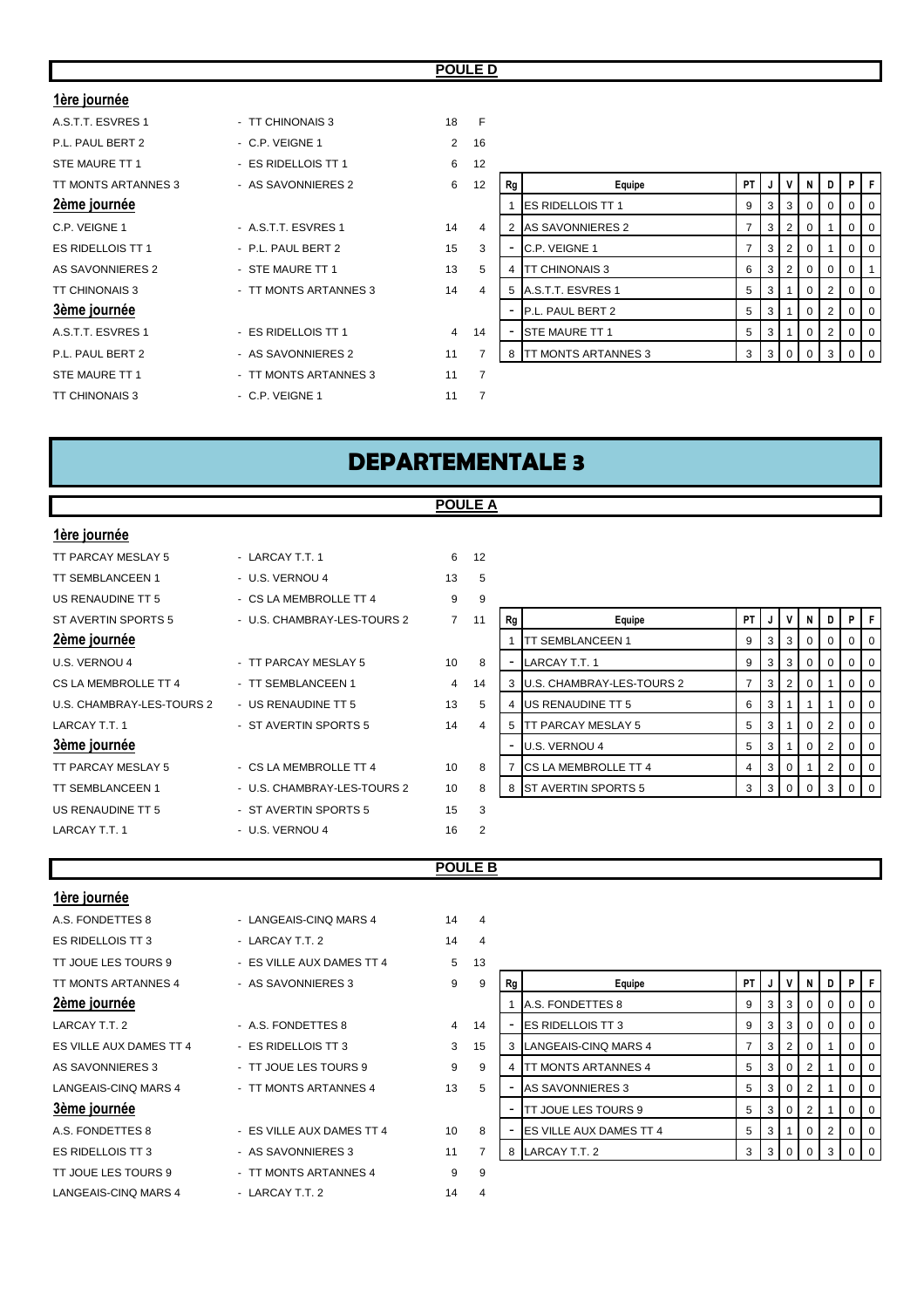#### **POULE D**

#### **1ère journée**

# A.S.T.T. ESVRES 1 - TT CHINONAIS 3 18 F P.L. PAUL BERT 2 - C.P. VEIGNE 1 2 STE MAURE TT 1 - ES RIDELLOIS TT 1 6 TT MONTS ARTANNES 3 - AS SAVONNIERES 2 6 12 **Rg Equipe PT J V N D P F**

- 
- 
- 

#### 3ème journée

- A.S.T.T. ESVRES 1 ES RIDELLOIS TT 1 4
- 
- 
- C.P. VEIGNE 1 A.S.T.T. ESVRES 1 2 4
- ES RIDELLOIS TT 1 P.L. PAUL BERT 2 15
- AS SAVONNIERES 2 STE MAURE TT 1 13
- TT CHINONAIS 3 TT MONTS ARTANNES 3 14
	-
- P.L. PAUL BERT 2 AS SAVONNIERES 2 11
- STE MAURE TT 1 TT MONTS ARTANNES 3 11 7
- TT CHINONAIS 3 C.P. VEIGNE 1 11 7

| P.L. PAUL BERT 2        | - C.P. VEIGNE 1       | 2  | 16 |    |                             |      |     |       |          |   |                |                |
|-------------------------|-----------------------|----|----|----|-----------------------------|------|-----|-------|----------|---|----------------|----------------|
| STE MAURE TT 1          | - ES RIDELLOIS TT 1   | 6  | 12 |    |                             |      |     |       |          |   |                |                |
| TT MONTS ARTANNES 3     | - AS SAVONNIERES 2    | 6  | 12 | Rg | Equipe                      | PT I | J   |       | N        | D | P.             | F              |
| 2ème journée            |                       |    |    |    | <b>IES RIDELLOIS TT 1</b>   | 9    | 3   | - 3 1 |          |   | $\overline{0}$ | $\overline{0}$ |
| C.P. VEIGNE 1           | - A.S.T.T. ESVRES 1   | 14 | 4  |    | AS SAVONNIERES 2            |      | 3   |       |          |   | $\overline{0}$ | $\overline{0}$ |
| ES RIDELLOIS TT 1       | - P.L. PAUL BERT 2    | 15 | 3  |    | C.P. VEIGNE 1               |      | 3 I | - 21  | - 0      |   | $\Omega$       | $\overline{0}$ |
| <b>AS SAVONNIERES 2</b> | - STE MAURE TT 1      | 13 | 5  |    | <b>TT CHINONAIS 3</b>       | 6    | 3   | -2    |          |   |                |                |
| TT CHINONAIS 3          | - TT MONTS ARTANNES 3 | 14 | 4  |    | 5 A.S.T.T. ESVRES 1         | 5    | 3 I |       | 0        | 2 | $\overline{0}$ | $\overline{0}$ |
| 3ème journée            |                       |    |    |    | P.L. PAUL BERT 2            | 5    | 3   |       |          |   | $\overline{0}$ | $\overline{0}$ |
| A.S.T.T. ESVRES 1       | - ES RIDELLOIS TT 1   | 4  | 14 |    | <b>STE MAURE TT 1</b>       | 5    | 3   |       | $\Omega$ | 2 | $0$   0        |                |
| P.L. PAUL BERT 2        | - AS SAVONNIERES 2    | 11 |    | 8  | <b>ITT MONTS ARTANNES 3</b> | 3    | 3   |       |          |   | $\overline{0}$ | $\overline{0}$ |
|                         |                       | .  |    |    |                             |      |     |       |          |   |                |                |

# **DEPARTEMENTALE 3**

#### **POULE A**

| 1ère journée              |                             |                 |                |    |                             |                |   |                |                |                |                |     |
|---------------------------|-----------------------------|-----------------|----------------|----|-----------------------------|----------------|---|----------------|----------------|----------------|----------------|-----|
| TT PARCAY MESLAY 5        | - LARCAY T.T. 1             | 6               | 12             |    |                             |                |   |                |                |                |                |     |
| <b>TT SEMBLANCEEN 1</b>   | - U.S. VERNOU 4             | 13              | 5              |    |                             |                |   |                |                |                |                |     |
| US RENAUDINE TT 5         | - CS LA MEMBROLLE TT 4      | 9               | 9              |    |                             |                |   |                |                |                |                |     |
| ST AVERTIN SPORTS 5       | - U.S. CHAMBRAY-LES-TOURS 2 | $7^{\circ}$     | 11             | Rg | Equipe                      | <b>PT</b>      | J | v              | N              | D              | PIF            |     |
| 2ème journée              |                             |                 |                |    | TT SEMBLANCEEN 1            | 9              | 3 | 3              | 0 <sup>1</sup> | $\overline{0}$ | $\Omega$       | -0  |
| U.S. VERNOU 4             | - TT PARCAY MESLAY 5        | 10              | 8              |    | LARCAY T.T. 1               | 9              | 3 | 3              | 0 <sup>1</sup> | $\mathbf 0$    | 0              | O   |
| CS LA MEMBROLLE TT 4      | - TT SEMBLANCEEN 1          | $\overline{4}$  | 14             |    | U.S. CHAMBRAY-LES-TOURS 2   | $\overline{7}$ | 3 | $\overline{2}$ | $\overline{0}$ |                | $\overline{0}$ | - 0 |
| U.S. CHAMBRAY-LES-TOURS 2 | - US RENAUDINE TT 5         | 13              | 5              |    | US RENAUDINE TT 5           | 6              | 3 |                |                |                | 0              | O   |
| LARCAY T.T. 1             | - ST AVERTIN SPORTS 5       | 14              | 4              |    | <b>TT PARCAY MESLAY 5</b>   | 5              | 3 |                | $\overline{0}$ | 2              | 0              | O   |
| 3ème journée              |                             |                 |                |    | U.S. VERNOU 4               | 5              | 3 |                | $\overline{0}$ | 2              | 0              |     |
| TT PARCAY MESLAY 5        | - CS LA MEMBROLLE TT 4      | 10 <sup>1</sup> | 8              |    | <b>CS LA MEMBROLLE TT 4</b> | 4              | 3 | $\mathbf{0}$   |                | 2              | 0              | O   |
| <b>TT SEMBLANCEEN 1</b>   | - U.S. CHAMBRAY-LES-TOURS 2 | 10              | 8              |    | 8 ST AVERTIN SPORTS 5       | 3              | 3 | $\mathbf{0}$   | $\overline{0}$ | 3              |                |     |
| US RENAUDINE TT 5         | - ST AVERTIN SPORTS 5       | 15              | 3              |    |                             |                |   |                |                |                |                |     |
| LARCAY T.T. 1             | - U.S. VERNOU 4             | 16              | $\overline{2}$ |    |                             |                |   |                |                |                |                |     |
|                           |                             |                 |                |    |                             |                |   |                |                |                |                |     |

| - 77           |    |                           |    |   |          |   |          |          |          |
|----------------|----|---------------------------|----|---|----------|---|----------|----------|----------|
| 11             | Rg | Equipe                    | PT | J | v        | N | D        | P        | F        |
|                | 1  | TT SEMBLANCEEN 1          | 9  | 3 | 3        | 0 | $\Omega$ | $\Omega$ | $\Omega$ |
| 8              |    | LARCAY T.T. 1             | 9  | 3 | 3        | 0 | $\Omega$ | 0        | 0        |
| 14             | 3  | U.S. CHAMBRAY-LES-TOURS 2 | 7  | 3 | 2        | 0 |          | $\Omega$ | 0        |
| 5              | 4  | US RENAUDINE TT 5         | 6  | 3 |          | 1 |          | $\Omega$ | $\Omega$ |
| $\overline{4}$ | 5  | TT PARCAY MESLAY 5        | 5  | 3 |          | 0 | 2        | $\Omega$ | 0        |
|                |    | U.S. VERNOU 4             | 5  | 3 |          | 0 | 2        | $\Omega$ | 0        |
| 8              | 7  | CS LA MEMBROLLE TT 4      | 4  | 3 | $\Omega$ | 1 | 2        | 0        | 0        |
| 8              | 8  | ST AVERTIN SPORTS 5       | 3  | 3 | $\Omega$ | O | 3        | O        | $\Omega$ |
| 3              |    |                           |    |   |          |   |          |          |          |

#### **POULE B**

| <u>1ère journée</u>     |                           |                |                |    |                                |           |    |              |                |   |                |   |
|-------------------------|---------------------------|----------------|----------------|----|--------------------------------|-----------|----|--------------|----------------|---|----------------|---|
| A.S. FONDETTES 8        | - LANGEAIS-CINQ MARS 4    | 14             | $\overline{4}$ |    |                                |           |    |              |                |   |                |   |
| ES RIDELLOIS TT 3       | - LARCAY T.T. 2           | 14             | $\overline{4}$ |    |                                |           |    |              |                |   |                |   |
| TT JOUE LES TOURS 9     | - ES VILLE AUX DAMES TT 4 | 5              | 13             |    |                                |           |    |              |                |   |                |   |
| TT MONTS ARTANNES 4     | - AS SAVONNIERES 3        | 9              | 9              | Rg | Equipe                         | <b>PT</b> | J  | v            | N              | D | PIF            |   |
| 2ème journée            |                           |                |                |    | A.S. FONDETTES 8               | 9         | 3  | 3            | 0              | 0 | $\Omega$       |   |
| LARCAY T.T. 2           | - A.S. FONDETTES 8        | $\overline{4}$ | 14             |    | <b>IES RIDELLOIS TT 3</b>      | 9         | 3  | 3            | 0 <sup>1</sup> | 0 | 0              | O |
| ES VILLE AUX DAMES TT 4 | - ES RIDELLOIS TT 3       | $\mathbf{3}$   | 15             |    | 3 LANGEAIS-CINQ MARS 4         | 7         | 3  | 2            | 0 <sup>1</sup> |   | 0              |   |
| AS SAVONNIERES 3        | - TT JOUE LES TOURS 9     | 9              | 9              |    | <b>TT MONTS ARTANNES 4</b>     | 5         | 3  | $\mathbf{0}$ | 2 <sup>1</sup> |   | 0              | O |
| LANGEAIS-CINQ MARS 4    | - TT MONTS ARTANNES 4     | 13             | 5              |    | <b>AS SAVONNIERES 3</b>        | 5         | 3  | $\mathbf{0}$ | $2^{\circ}$    |   | 0              |   |
| 3ème journée            |                           |                |                |    | TT JOUE LES TOURS 9            | 5         | 3  | $\mathbf{0}$ | $2^{\circ}$    |   | $\overline{0}$ | O |
| A.S. FONDETTES 8        | - ES VILLE AUX DAMES TT 4 | 10             | 8              |    | <b>ES VILLE AUX DAMES TT 4</b> | 5         | -3 |              | 0 <sup>1</sup> | 2 | 0              | O |
| ES RIDELLOIS TT 3       | - AS SAVONNIERES 3        | 11             | 7              |    | 8 LARCAY T.T. 2                | 3         | 3  | $\mathbf{0}$ | $\Omega$       | 3 |                |   |
| TT JOUE LES TOURS 9     | - TT MONTS ARTANNES 4     | 9              | 9              |    |                                |           |    |              |                |   |                |   |
| LANGEAIS-CINQ MARS 4    | - LARCAY T.T. 2           | 14             | 4              |    |                                |           |    |              |                |   |                |   |

| 3              |    |                             |    |   |                |   |          |          |   |
|----------------|----|-----------------------------|----|---|----------------|---|----------|----------|---|
| 9              | Rg | Equipe                      | PT | J | v              | N | D        | P        | F |
|                | 1  | A.S. FONDETTES 8            | 9  | 3 | 3              | 0 | $\Omega$ | O        | O |
| $\overline{4}$ |    | <b>ES RIDELLOIS TT 3</b>    | 9  | 3 | 3              | 0 | $\Omega$ | $\Omega$ | O |
| 5              | 3  | <b>LANGEAIS-CINQ MARS 4</b> | 7  | 3 | $\overline{2}$ | 0 | 1        | 0        | 0 |
| 9              | 4  | TT MONTS ARTANNES 4         | 5  | 3 | $\Omega$       | 2 |          | O        | O |
| 5              |    | <b>AS SAVONNIERES 3</b>     | 5  | 3 | $\Omega$       | 2 | 1        | $\Omega$ | 0 |
|                | -  | <b>TT JOUE LES TOURS 9</b>  | 5  | 3 | $\Omega$       | 2 | 1        | $\Omega$ | 0 |
| 8              |    | ES VILLE AUX DAMES TT 4     | 5  | 3 | 1              | 0 | 2        | $\Omega$ | O |
| 7              | 8  | LARCAY T.T. 2               | 3  | 3 | O              | O | 3        |          |   |
|                |    |                             |    |   |                |   |          |          |   |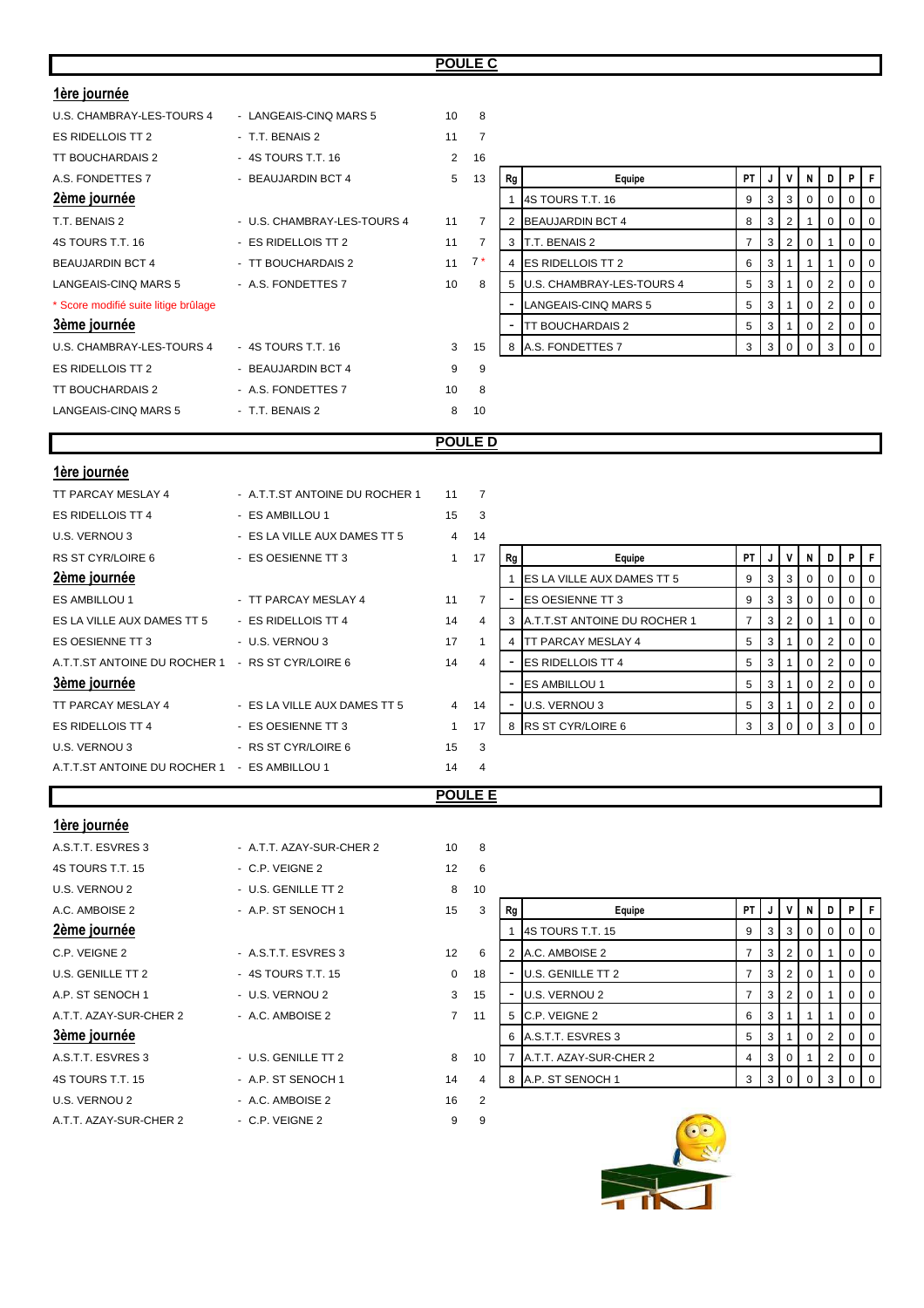|--|

| <u>1ère journée</u>                              |                                |                |                |                                            |                |              |                |              |                |             |                |
|--------------------------------------------------|--------------------------------|----------------|----------------|--------------------------------------------|----------------|--------------|----------------|--------------|----------------|-------------|----------------|
| U.S. CHAMBRAY-LES-TOURS 4                        | - LANGEAIS-CINQ MARS 5         | 10             | 8              |                                            |                |              |                |              |                |             |                |
| ES RIDELLOIS TT 2                                | - T.T. BENAIS 2                | 11             | $\overline{7}$ |                                            |                |              |                |              |                |             |                |
| TT BOUCHARDAIS 2                                 | - 4S TOURS T.T. 16             | 2              | 16             |                                            |                |              |                |              |                |             |                |
| A.S. FONDETTES 7                                 | - BEAUJARDIN BCT 4             | 5              | 13             | Rg<br>Equipe                               | PT             | J            | $\mathsf{v}$   | N            | D              | P           | F              |
| 2ème journée                                     |                                |                |                | 4S TOURS T.T. 16<br>1                      | 9              | 3            | 3              | $\Omega$     | $\Omega$       | $\mathbf 0$ | $\Omega$       |
| T.T. BENAIS 2                                    | - U.S. CHAMBRAY-LES-TOURS 4    | 11             | $\overline{7}$ | $\overline{2}$<br><b>BEAUJARDIN BCT 4</b>  | 8              | 3            | $\overline{2}$ | $\mathbf{1}$ | 0              | $\mathbf 0$ | $\mathbf 0$    |
| 4S TOURS T.T. 16                                 | - ES RIDELLOIS TT 2            | 11             | $\overline{7}$ | 3<br>T.T. BENAIS 2                         | $\overline{7}$ | $\mathsf 3$  | $\overline{2}$ | $\mathbf 0$  |                | $\mathbf 0$ | $\mathbf 0$    |
| <b>BEAUJARDIN BCT 4</b>                          | - TT BOUCHARDAIS 2             | 11             | $7*$           | <b>ES RIDELLOIS TT 2</b><br>$\overline{4}$ | 6              | $\mathbf{3}$ | $\mathbf{1}$   | $\mathbf{1}$ |                | $\mathbf 0$ | $\mathbf 0$    |
| LANGEAIS-CINQ MARS 5                             | - A.S. FONDETTES 7             | 10             | 8              | U.S. CHAMBRAY-LES-TOURS 4<br>5             | 5              | 3            | $\mathbf{1}$   | $\mathbf 0$  | $\overline{2}$ | 0           | $\mathsf 0$    |
| * Score modifié suite litige brûlage             |                                |                |                | LANGEAIS-CINQ MARS 5                       | 5              | $\sqrt{3}$   | $\mathbf{1}$   | $\mathbf 0$  | $\overline{2}$ | 0           | $\mathbf 0$    |
| 3ème journée                                     |                                |                |                | <b>TT BOUCHARDAIS 2</b>                    | 5              | $\mathsf 3$  | $\mathbf{1}$   | $\mathbf 0$  | $\overline{2}$ | $\mathbf 0$ | $\overline{0}$ |
| U.S. CHAMBRAY-LES-TOURS 4                        | - 4S TOURS T.T. 16             | 3              | 15             | A.S. FONDETTES 7<br>8                      | 3              | 3            | $\mathbf 0$    | $\mathbf 0$  | 3              | 0           | $\mathbf 0$    |
| <b>ES RIDELLOIS TT 2</b>                         | - BEAUJARDIN BCT 4             | 9              | 9              |                                            |                |              |                |              |                |             |                |
| TT BOUCHARDAIS 2                                 | - A.S. FONDETTES 7             | 10             | 8              |                                            |                |              |                |              |                |             |                |
| LANGEAIS-CINQ MARS 5                             | - T.T. BENAIS 2                | 8              | 10             |                                            |                |              |                |              |                |             |                |
|                                                  |                                |                |                |                                            |                |              |                |              |                |             |                |
|                                                  |                                |                |                |                                            |                |              |                |              |                |             |                |
|                                                  |                                |                | <b>POULED</b>  |                                            |                |              |                |              |                |             |                |
| 1ère journée                                     |                                |                |                |                                            |                |              |                |              |                |             |                |
| TT PARCAY MESLAY 4                               | - A.T.T.ST ANTOINE DU ROCHER 1 | 11             | $\overline{7}$ |                                            |                |              |                |              |                |             |                |
| <b>ES RIDELLOIS TT 4</b>                         | - ES AMBILLOU 1                | 15             | 3              |                                            |                |              |                |              |                |             |                |
| U.S. VERNOU 3                                    | - ES LA VILLE AUX DAMES TT 5   | $\overline{4}$ | 14             |                                            |                |              |                |              |                |             |                |
| RS ST CYR/LOIRE 6                                | - ES OESIENNE TT 3             | $\mathbf{1}$   | 17             | Rg<br>Equipe                               | PT             | $\mathbf{J}$ | $\mathbf v$    | N            | D              | P           | F              |
| 2ème journée                                     |                                |                |                | ES LA VILLE AUX DAMES TT 5<br>$\mathbf{1}$ | 9              | $\mathbf{3}$ | $\sqrt{3}$     | $\mathbf 0$  | 0              | 0           | $\mathsf 0$    |
| ES AMBILLOU 1                                    | - TT PARCAY MESLAY 4           | 11             | $\overline{7}$ | ES OESIENNE TT 3                           | 9              | $\mathbf{3}$ | $\sqrt{3}$     | $\mathbf 0$  | $\mathbf 0$    | 0           | $\overline{0}$ |
| ES LA VILLE AUX DAMES TT 5                       | - ES RIDELLOIS TT 4            | 14             | $\overline{4}$ | A.T.T.ST ANTOINE DU ROCHER 1<br>3          | $\overline{7}$ | 3            | $\overline{2}$ | $\mathbf 0$  | 1              | 0           | $\mathbf 0$    |
| ES OESIENNE TT 3                                 | - U.S. VERNOU 3                | 17             | $\mathbf{1}$   | <b>TT PARCAY MESLAY 4</b><br>4             | 5              | 3            | $\mathbf{1}$   | $\mathbf 0$  | $\overline{2}$ | 0           | $\mathbf 0$    |
| A.T.T.ST ANTOINE DU ROCHER 1 - RS ST CYR/LOIRE 6 |                                | 14             | 4              | <b>ES RIDELLOIS TT 4</b>                   | 5              | $\mathsf 3$  | $\overline{1}$ | $\mathbf 0$  | $\overline{2}$ | $\mathbf 0$ | $\overline{0}$ |
| 3ème journée                                     |                                |                |                | ES AMBILLOU 1                              | 5              | 3            | $\overline{1}$ | $\mathbf 0$  | $\overline{2}$ | $\mathbf 0$ | $\mathbf 0$    |
| TT PARCAY MESLAY 4                               | - ES LA VILLE AUX DAMES TT 5   | 4              | 14             | U.S. VERNOU 3                              | 5              | $\mathbf{3}$ | $\mathbf{1}$   | $\mathbf 0$  | $\overline{c}$ | 0           | $\overline{0}$ |
| ES RIDELLOIS TT 4                                | - ES OESIENNE TT 3             | $\mathbf{1}$   | 17             | RS ST CYR/LOIRE 6<br>8                     | 3              | 3            | $\mathbf 0$    | $\mathbf 0$  | 3              | 0           | $\mathbf 0$    |
| U.S. VERNOU 3                                    | - RS ST CYR/LOIRE 6            | 15             | 3              |                                            |                |              |                |              |                |             |                |
| A.T.T.ST ANTOINE DU ROCHER 1 - ES AMBILLOU 1     |                                | 14             | $\overline{4}$ |                                            |                |              |                |              |                |             |                |

## **1ère journée**

| A.S.T.T. ESVRES 3      | - A.T.T. AZAY-SUR-CHER 2 | 10                | 8              |
|------------------------|--------------------------|-------------------|----------------|
| 4S TOURS T.T. 15       | - C.P. VEIGNE 2          | $12 \overline{ }$ | 6              |
| U.S. VERNOU 2          | - U.S. GENILLE TT 2      | 8                 | 10             |
| A.C. AMBOISE 2         | - A.P. ST SENOCH 1       | 15                | 3              |
| 2ème journée           |                          |                   |                |
| C.P. VEIGNE 2          | - A.S.T.T. ESVRES 3      | 12                | 6              |
| U.S. GENILLE TT 2      | - 4S TOURS T.T. 15       | $\Omega$          | 18             |
| A.P. ST SENOCH 1       | - U.S. VERNOU 2          | 3                 | 15             |
| A.T.T. AZAY-SUR-CHER 2 | - A.C. AMBOISE 2         | $\overline{7}$    | 11             |
| 3ème journée           |                          |                   |                |
| A.S.T.T. ESVRES 3      | - U.S. GENILLE TT 2      | 8                 | 10             |
| 4S TOURS T.T. 15       | - A.P. ST SENOCH 1       | 14                | $\overline{4}$ |
| U.S. VERNOU 2          | - A.C. AMBOISE 2         | 16                | $\overline{2}$ |
| A.T.T. AZAY-SUR-CHER 2 | - C.P. VEIGNE 2          | 9                 | 9              |

| U.S. VERNOU 2          | $-$ U.S. GENILLE TT 2 | 8                 | 10 |    |                        |                |                |                |   |   |                |                |
|------------------------|-----------------------|-------------------|----|----|------------------------|----------------|----------------|----------------|---|---|----------------|----------------|
| A.C. AMBOISE 2         | - A.P. ST SENOCH 1    | 15                | 3  | Rg | Equipe                 | PT I           | J              | V              | N | D | PIF            |                |
| 2ème journée           |                       |                   |    |    | 4S TOURS T.T. 15       |                | 3 I            | 3 <sup>1</sup> |   |   |                | $01$ 0         |
| C.P. VEIGNE 2          | - A.S.T.T. ESVRES 3   | $12 \overline{ }$ | 6  |    | A.C. AMBOISE 2         |                | 3 I            | l 2 l          |   |   |                | $0$   0        |
| U.S. GENILLE TT 2      | - 4S TOURS T.T. 15    | 0                 | 18 |    | U.S. GENILLE TT 2      |                | 3 I            |                |   |   |                | $0$   0        |
| A.P. ST SENOCH 1       | - U.S. VERNOU 2       | 3                 | 15 |    | U.S. VERNOU 2          |                | 3 I            |                |   |   | $\overline{0}$ | 0              |
| A.T.T. AZAY-SUR-CHER 2 | - A.C. AMBOISE 2      | $\overline{7}$    | 11 |    | C.P. VEIGNE 2          | 6              | 3              |                |   |   | $\overline{0}$ | $\overline{0}$ |
| 3ème journée           |                       |                   |    |    | 6 A.S.T.T. ESVRES 3    | 5              | 3 I            |                |   |   |                | 0 <sup>1</sup> |
| A.S.T.T. ESVRES 3      | - U.S. GENILLE TT 2   | 8                 | 10 |    | A.T.T. AZAY-SUR-CHER 2 | $\overline{4}$ | 3 <sup>1</sup> | l O            |   |   |                | $01$ 0         |
| 4S TOURS T.T. 15       | - A.P. ST SENOCH 1    | 14                | 4  |    | A.P. ST SENOCH 1       | 3              |                | 300            |   | 3 |                | $01$ 0         |

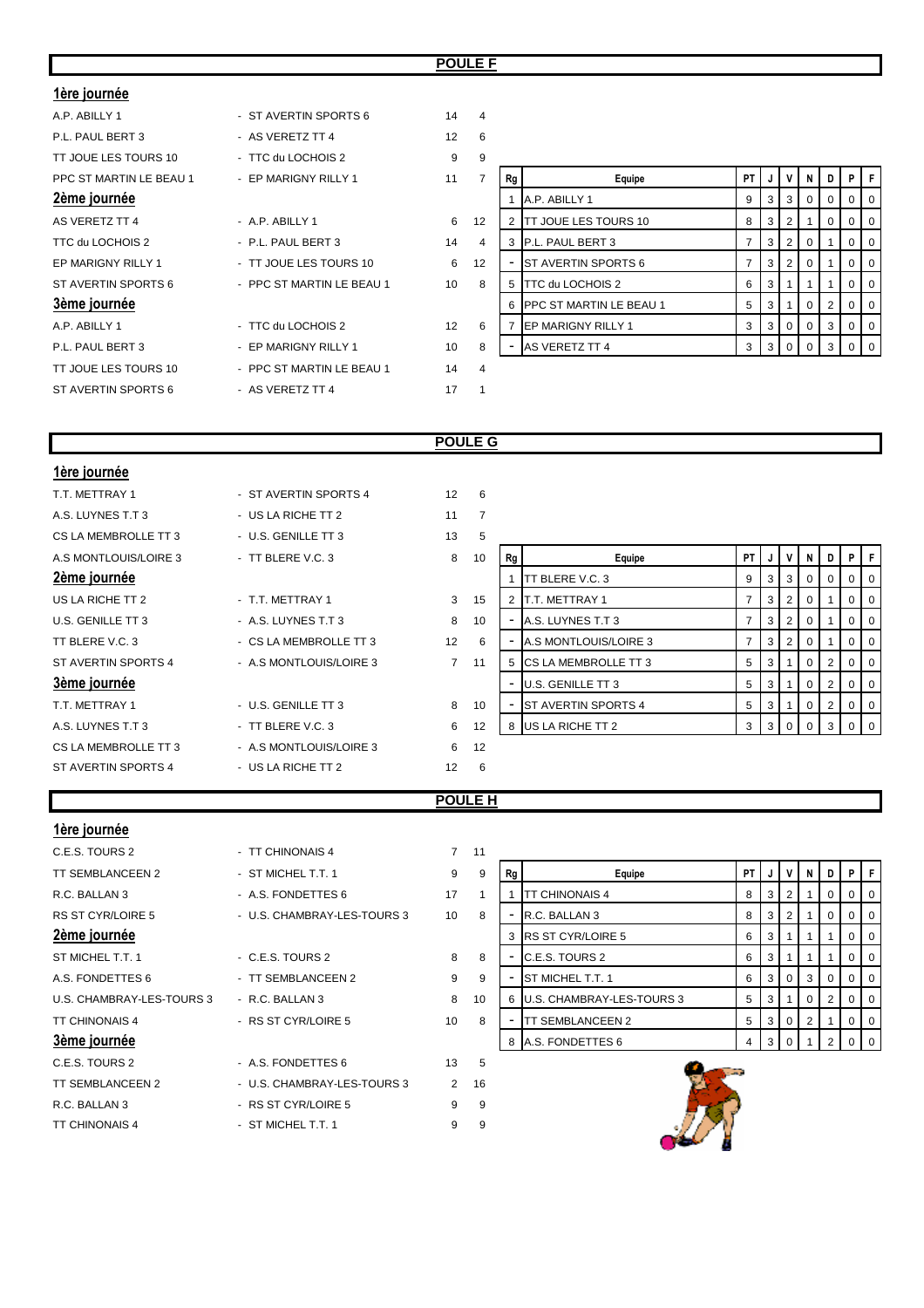#### **POULE F**

| 1ère journée            |                           |                 |                |    |                           |                |   |                |                |                   |                |     |
|-------------------------|---------------------------|-----------------|----------------|----|---------------------------|----------------|---|----------------|----------------|-------------------|----------------|-----|
| A.P. ABILLY 1           | - ST AVERTIN SPORTS 6     | 14              | $\overline{4}$ |    |                           |                |   |                |                |                   |                |     |
| P.L. PAUL BERT 3        | - AS VERETZ TT 4          | 12              | 6              |    |                           |                |   |                |                |                   |                |     |
| TT JOUE LES TOURS 10    | - TTC du LOCHOIS 2        | 9               | 9              |    |                           |                |   |                |                |                   |                |     |
| PPC ST MARTIN LE BEAU 1 | - EP MARIGNY RILLY 1      | 11              | $\overline{7}$ | Rg | Equipe                    | <b>PT</b>      | J | v              | N              | $\cdot$ D $\cdot$ | PIF            |     |
| 2ème journée            |                           |                 |                |    | A.P. ABILLY 1             | 9              | 3 | 3              | 0              |                   |                |     |
| AS VERETZ TT 4          | - A.P. ABILLY 1           | 6               | 12             |    | TT JOUE LES TOURS 10      | 8              | 3 | 2              |                | 0                 | 0              | - 0 |
| TTC du LOCHOIS 2        | - P.L. PAUL BERT 3        | 14              | 4              |    | P.L. PAUL BERT 3          | 7              | 3 | 2              | $\overline{0}$ |                   | 0              |     |
| EP MARIGNY RILLY 1      | - TT JOUE LES TOURS 10    | 6               | 12             |    | ST AVERTIN SPORTS 6       | $\overline{7}$ | 3 | 2              | $\overline{0}$ |                   | 0 <sup>1</sup> | -0  |
| ST AVERTIN SPORTS 6     | - PPC ST MARTIN LE BEAU 1 | 10              | 8              | 5  | TTC du LOCHOIS 2          | 6              | 3 |                |                |                   | 0              |     |
| 3ème journée            |                           |                 |                |    | 6 PPC ST MARTIN LE BEAU 1 | 5              | 3 |                | $\overline{0}$ | 2                 | 0              | O   |
| A.P. ABILLY 1           | - TTC du LOCHOIS 2        | 12 <sup>2</sup> | 6              |    | EP MARIGNY RILLY 1        | 3              | 3 | $\overline{0}$ | $\overline{0}$ | 3                 | 0              |     |
| P.L. PAUL BERT 3        | - EP MARIGNY RILLY 1      | 10              | 8              |    | AS VERETZ TT 4            | 3              | 3 | $\mathbf{0}$   | $\Omega$       | 3                 |                |     |
| TT JOUE LES TOURS 10    | - PPC ST MARTIN LE BEAU 1 | 14              | $\overline{4}$ |    |                           |                |   |                |                |                   |                |     |
| ST AVERTIN SPORTS 6     | - AS VERETZ TT 4          | 17              |                |    |                           |                |   |                |                |                   |                |     |

| 6              |                |                         |                |   |                |          |   |          |          |
|----------------|----------------|-------------------------|----------------|---|----------------|----------|---|----------|----------|
| 9              |                |                         |                |   |                |          |   |          |          |
| 7              | Rg             | Equipe                  | PT             | J | ٧              | N        | D | P        | F        |
|                | 1              | A.P. ABILLY 1           | 9              | 3 | 3              | 0        | 0 | $\Omega$ | $\Omega$ |
| 12             | $\overline{2}$ | TT JOUE LES TOURS 10    | 8              | 3 | 2              | 1        | 0 | 0        | 0        |
| $\overline{4}$ | 3              | P.L. PAUL BERT 3        | $\overline{7}$ | 3 | $\overline{2}$ | 0        | 1 | 0        | 0        |
| 12             |                | ST AVERTIN SPORTS 6     | 7              | 3 | 2              | 0        | 1 | 0        | $\Omega$ |
| 8              | 5              | TTC du LOCHOIS 2        | 6              | 3 | 1              | 1        | 1 | $\Omega$ | $\Omega$ |
|                | 6              | PPC ST MARTIN LE BEAU 1 | 5              | 3 | 1              | 0        | 2 | 0        | 0        |
| 6              | 7              | EP MARIGNY RILLY 1      | 3              | 3 | 0              | 0        | 3 | 0        | 0        |
| 8              |                | AS VERETZ TT 4          | 3              | 3 | 0              | $\Omega$ | 3 | O        | $\Omega$ |
| $\sim$         |                |                         |                |   |                |          |   |          |          |

# **POULE G**

| 1ère journée          |                         |                 |     |    |                              |                |   |                |             |              |                |                |
|-----------------------|-------------------------|-----------------|-----|----|------------------------------|----------------|---|----------------|-------------|--------------|----------------|----------------|
| T.T. METTRAY 1        | - ST AVERTIN SPORTS 4   | 12 <sup>2</sup> | - 6 |    |                              |                |   |                |             |              |                |                |
| A.S. LUYNES T.T 3     | - US LA RICHE TT 2      | 11              | 7   |    |                              |                |   |                |             |              |                |                |
| CS LA MEMBROLLE TT 3  | - U.S. GENILLE TT 3     | 13              | 5   |    |                              |                |   |                |             |              |                |                |
| A.S MONTLOUIS/LOIRE 3 | - TT BLERE V.C. 3       | 8               | 10  | Rg | Equipe                       | PT I           | J |                | N           | D            |                | PF             |
| <u>2ème journée</u>   |                         |                 |     |    | <b>TT BLERE V.C. 3</b>       | 9              | 3 | 3              | $\mathbf 0$ | $\mathbf{0}$ |                | $0$   0        |
| US LA RICHE TT 2      | - T.T. METTRAY 1        | 3               | 15  | 2  | T.T. METTRAY 1               | 7              | 3 | $\overline{2}$ | 0           |              | $\overline{0}$ | $\overline{0}$ |
| U.S. GENILLE TT 3     | - A.S. LUYNES T.T 3     | 8               | 10  |    | A.S. LUYNES T.T 3            | $\overline{7}$ | 3 | $\overline{2}$ | 0           |              |                | $0$   0        |
| TT BLERE V.C. 3       | - CS LA MEMBROLLE TT 3  | 12              | 6   |    | A.S MONTLOUIS/LOIRE 3        | $\overline{7}$ | 3 | $\overline{2}$ | 0           |              |                | 0 <sub>0</sub> |
| ST AVERTIN SPORTS 4   | - A.S MONTLOUIS/LOIRE 3 | $\overline{7}$  | 11  | 5  | <b>ICS LA MEMBROLLE TT 3</b> | 5              | 3 |                | 0           | 2            | $\overline{0}$ | $\overline{0}$ |
| 3ème journée          |                         |                 |     |    | U.S. GENILLE TT 3            | 5              | 3 |                | 0           | 2            | $\overline{0}$ | $\overline{0}$ |
| T.T. METTRAY 1        | - U.S. GENILLE TT 3     | 8               | 10  |    | ST AVERTIN SPORTS 4          | 5              | 3 |                | 0           | 2            |                | 0 <sub>0</sub> |
| A.S. LUYNES T.T 3     | - TT BLERE V.C. 3       | 6               | 12  |    | 8 US LA RICHE TT 2           | 3 <sup>1</sup> | 3 | $\mathbf 0$    | $\Omega$    | 3            |                | 0 <sub>0</sub> |
| CS LA MEMBROLLE TT 3  | - A.S MONTLOUIS/LOIRE 3 | 6               | 12  |    |                              |                |   |                |             |              |                |                |
| ST AVERTIN SPORTS 4   | - US LA RICHE TT 2      | 12              | 6   |    |                              |                |   |                |             |              |                |                |

## **POULE H**

| - TT CHINONAIS 4            |                 | 11 |                  |                       |                                                                                   |   |   |                |                                  |   |   |
|-----------------------------|-----------------|----|------------------|-----------------------|-----------------------------------------------------------------------------------|---|---|----------------|----------------------------------|---|---|
| - ST MICHEL T.T. 1          | 9               | 9  | Rg               | Equipe                | <b>PT</b>                                                                         |   |   | N.             |                                  |   |   |
| - A.S. FONDETTES 6          | 17              | 1  |                  | <b>TT CHINONAIS 4</b> | 8                                                                                 | 3 | 2 |                | 0                                | 0 |   |
| - U.S. CHAMBRAY-LES-TOURS 3 | 10 <sup>1</sup> | 8  |                  | R.C. BALLAN 3         | 8                                                                                 | 3 |   |                |                                  |   |   |
|                             |                 |    | 3                |                       | 6                                                                                 | 3 |   |                |                                  | 0 |   |
| - C.E.S. TOURS 2            | 8               | 8  |                  | C.E.S. TOURS 2        | 6                                                                                 | 3 |   |                |                                  |   |   |
| - TT SEMBLANCEEN 2          | 9               | 9  |                  | ST MICHEL T.T. 1      | 6                                                                                 | 3 |   | 3 <sup>1</sup> | $\Omega$                         |   |   |
| - R.C. BALLAN 3             | 8               | 10 |                  |                       | 5                                                                                 | 3 |   | $\Omega$       | 2                                |   |   |
| - RS ST CYR/LOIRE 5         | 10              | 8  |                  | TT SEMBLANCEEN 2      | 5                                                                                 | 3 |   | $2^{\circ}$    |                                  | 0 | O |
|                             |                 |    |                  |                       | 4                                                                                 | 3 |   |                |                                  |   |   |
| - A.S. FONDETTES 6          | 13              | 5  |                  |                       |                                                                                   |   |   |                |                                  |   |   |
| - U.S. CHAMBRAY-LES-TOURS 3 |                 | 16 |                  |                       |                                                                                   |   |   |                |                                  |   |   |
| - RS ST CYR/LOIRE 5         | 9               | 9  |                  |                       |                                                                                   |   |   |                |                                  |   |   |
| - ST MICHEL T.T. 1          | 9               | 9  |                  |                       |                                                                                   |   |   |                |                                  |   |   |
|                             |                 |    | $7^{\circ}$<br>2 |                       | <b>IRS ST CYR/LOIRE 5</b><br><b>U.S. CHAMBRAY-LES-TOURS 3</b><br>A.S. FONDETTES 6 |   |   |                | $\overline{0}$<br>$\overline{0}$ |   |   |

| 1 |    |                           |    |   |                |          |   |          |          |
|---|----|---------------------------|----|---|----------------|----------|---|----------|----------|
| 9 | Rg | Equipe                    | PT | J | ٧              | N        | D | P        | F        |
| 1 |    | TT CHINONAIS 4            | 8  | 3 | $\overline{2}$ | 1        | 0 | 0        | $\Omega$ |
| 8 |    | R.C. BALLAN 3             | 8  | 3 | $\overline{2}$ | 1        | 0 | O        | 0        |
|   | 3  | <b>RS ST CYR/LOIRE 5</b>  | 6  | 3 | 1              | 1        | 1 | O        | $\Omega$ |
| 8 |    | C.E.S. TOURS 2            | 6  | 3 | 1              |          |   | O        | $\Omega$ |
| 9 |    | ST MICHEL T.T. 1          | 6  | 3 | $\Omega$       | 3        | 0 | 0        | $\Omega$ |
| 0 | 6  | U.S. CHAMBRAY-LES-TOURS 3 | 5  | 3 | 1              | $\Omega$ | 2 | $\Omega$ | $\Omega$ |
| 8 |    | TT SEMBLANCEEN 2          | 5  | 3 | $\Omega$       | 2        |   | 0        | $\Omega$ |
|   | 8  | A.S. FONDETTES 6          | 4  | 3 | 0              |          | ົ |          | $\Omega$ |

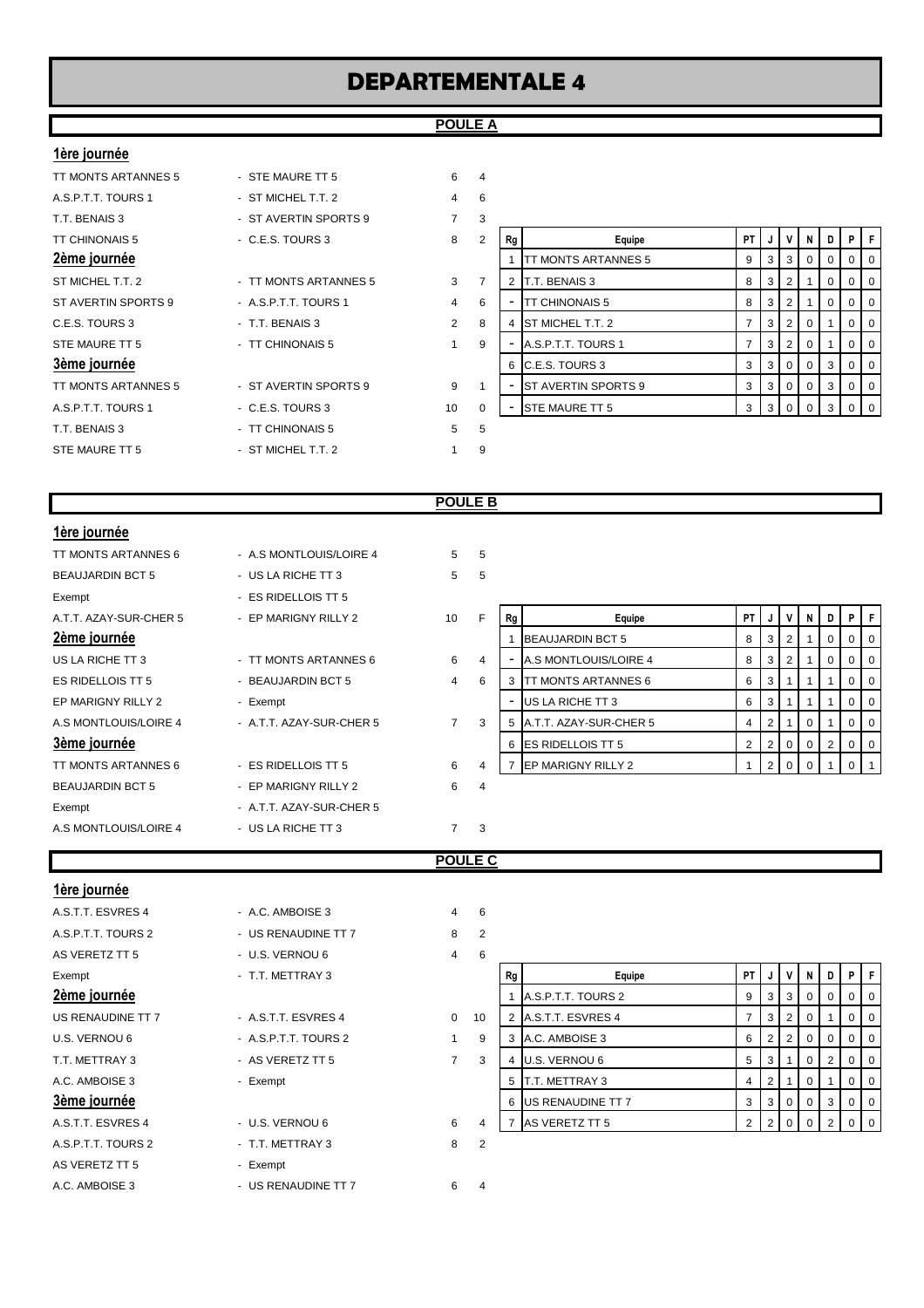#### **POULE A**

#### **1ère journée**

| TT MONTS ARTANNES 5                                                      |
|--------------------------------------------------------------------------|
| A.S.P.T.T. TOURS 1                                                       |
| T.T. BENAIS 3                                                            |
| <b>TT CHINONAIS 5</b>                                                    |
| 2ème journée                                                             |
| ST MICHEL T.T. 2                                                         |
| ST AVERTIN SPORTS 9                                                      |
| C.E.S. TOURS 3                                                           |
| STE MAURE TT 5                                                           |
| 3ème journée                                                             |
| TT MONTS ARTANNES 5                                                      |
| $\Delta$ $\cap$ $\Gamma$ $\top$ $\Gamma$ $\cap$ $\Gamma$ $\cap$ $\Gamma$ |

| TT MONTS ARTANNES 5   | - STE MAURE TT 5      | 6              | 4              |
|-----------------------|-----------------------|----------------|----------------|
| A.S.P.T.T. TOURS 1    | - ST MICHEL T.T. 2    | 4              | 6              |
| T.T. BENAIS 3         | - ST AVERTIN SPORTS 9 | $\overline{7}$ | 3              |
| <b>TT CHINONAIS 5</b> | - C.E.S. TOURS 3      | 8              | 2              |
| <u>2ème journée</u>   |                       |                |                |
| ST MICHEL T.T. 2      | - TT MONTS ARTANNES 5 | 3              | $\overline{7}$ |
| ST AVERTIN SPORTS 9   | - A.S.P.T.T. TOURS 1  | 4              | 6              |
| C.E.S. TOURS 3        | - T.T. BENAIS 3       | $\overline{2}$ | 8              |
| STE MAURE TT 5        | - TT CHINONAIS 5      | 1              | 9              |
| 3ème journée          |                       |                |                |
| TT MONTS ARTANNES 5   | - ST AVERTIN SPORTS 9 | 9              | 1              |
| A.S.P.T.T. TOURS 1    | - C.E.S. TOURS 3      | 10             | $\Omega$       |
| T.T. BENAIS 3         | - TT CHINONAIS 5      | 5              | 5              |
| STE MAURE TT 5        | - ST MICHEL T.T. 2    | 1              | 9              |
|                       |                       |                |                |

| T.T. BENAIS 3       | - ST AVERTIN SPORTS 9 |                | 3 |    |                             |      |                |                 |          |   |                |                |
|---------------------|-----------------------|----------------|---|----|-----------------------------|------|----------------|-----------------|----------|---|----------------|----------------|
| TT CHINONAIS 5      | $-C.E.S. TOUNS3$      | 8              | 2 | Rg | Equipe                      | PT I | J              | $\mathsf{v}$    | - N      | D | P I            | F              |
| 2ème journée        |                       |                |   |    | TT MONTS ARTANNES 5         | 9    | 3              | 3               |          |   | $\overline{0}$ | $\overline{0}$ |
| ST MICHEL T.T. 2    | - TT MONTS ARTANNES 5 | 3              |   |    | T.T. BENAIS 3               | 8    | 3              |                 |          | 0 | $\overline{0}$ | $\overline{0}$ |
| ST AVERTIN SPORTS 9 | - A.S.P.T.T. TOURS 1  | 4              | 6 |    | <b>TT CHINONAIS 5</b>       | 8    | 3              |                 |          | U |                | $0$   0        |
| C.E.S. TOURS 3      | - T.T. BENAIS 3       | $\overline{2}$ | 8 |    | <b>ST MICHEL T.T. 2</b>     |      | 3              |                 |          |   | $\Omega$       | $\overline{0}$ |
| STE MAURE TT 5      | - TT CHINONAIS 5      |                | 9 |    | A.S.P.T.T. TOURS 1          |      | 3 <sup>1</sup> | $\vert 2 \vert$ | $\Omega$ |   |                | 0 <sup>1</sup> |
| 3ème journée        |                       |                |   | 6  | C.E.S. TOURS 3              | 3    | $\mathbf{3}$   | $\Omega$        |          | 3 |                | 0 <sub>0</sub> |
| TT MONTS ARTANNES 5 | - ST AVERTIN SPORTS 9 | 9              |   |    | <b>IST AVERTIN SPORTS 9</b> | 3    | 3 I            | $\Omega$        |          | 3 | $\Omega$       | 0              |
| A.S.P.T.T. TOURS 1  | $-C.E.S. TOURS3$      | 10             | 0 | ۰  | <b>STE MAURE TT 5</b>       |      |                |                 |          |   |                | $0$   0        |
| TT BENAIC 2         | <b>TT CHINONAICE</b>  | к              |   |    |                             |      |                |                 |          |   |                |                |

## **POULE B**

| 1ère journée            |                          |                |     |    |                             |           |                |   |   |                |                   |                |
|-------------------------|--------------------------|----------------|-----|----|-----------------------------|-----------|----------------|---|---|----------------|-------------------|----------------|
| TT MONTS ARTANNES 6     | - A.S MONTLOUIS/LOIRE 4  | 5 <sup>5</sup> | - 5 |    |                             |           |                |   |   |                |                   |                |
| <b>BEAUJARDIN BCT 5</b> | - US LA RICHE TT 3       | 5              | 5   |    |                             |           |                |   |   |                |                   |                |
| Exempt                  | - ES RIDELLOIS TT 5      |                |     |    |                             |           |                |   |   |                |                   |                |
| A.T.T. AZAY-SUR-CHER 5  | - EP MARIGNY RILLY 2     | 10             | E   | Rg | Equipe                      | <b>PT</b> |                | V | N | D I            | PF                |                |
| 2ème journée            |                          |                |     |    | <b>BEAUJARDIN BCT 5</b>     | 8         | 3              | 2 |   | 0              | $\mathbf{0}$      | 0              |
| US LA RICHE TT 3        | - TT MONTS ARTANNES 6    | 6              | 4   |    | A.S MONTLOUIS/LOIRE 4       | 8         | 3 <sup>1</sup> | 2 |   | $\overline{0}$ | $0$   0           |                |
| ES RIDELLOIS TT 5       | - BEAUJARDIN BCT 5       | $\overline{4}$ | 6   | 3  | <b>ITT MONTS ARTANNES 6</b> | 6         | 3 <sup>1</sup> |   |   |                | 0                 | 0              |
| EP MARIGNY RILLY 2      | - Exempt                 |                |     |    | US LA RICHE TT 3            | 6         | 3 <sup>1</sup> | 1 |   |                | $\cdot$ 0 $\cdot$ | $\overline{0}$ |
| A.S MONTLOUIS/LOIRE 4   | - A.T.T. AZAY-SUR-CHER 5 | $\overline{7}$ | 3   | 5  | A.T.T. AZAY-SUR-CHER 5      | 4         | 2 <sub>1</sub> |   | 0 |                | $0$   0           |                |
| 3ème journée            |                          |                |     | 6  | <b>ES RIDELLOIS TT 5</b>    | 2         | 2              | 0 | 0 | 2 <sup>1</sup> | $0$   0           |                |
| TT MONTS ARTANNES 6     | - ES RIDELLOIS TT 5      | 6              | 4   |    | EP MARIGNY RILLY 2          |           | 2 <sup>1</sup> | 0 | 0 |                |                   |                |
| <b>BEAUJARDIN BCT 5</b> | - EP MARIGNY RILLY 2     | 6              | 4   |    |                             |           |                |   |   |                |                   |                |
| Exempt                  | - A.T.T. AZAY-SUR-CHER 5 |                |     |    |                             |           |                |   |   |                |                   |                |
| A.S MONTLOUIS/LOIRE 4   | - US LA RICHE TT 3       | $\overline{7}$ | 3   |    |                             |           |                |   |   |                |                   |                |

#### **POULE C**

| 1ère journée       |                      |                |                |    |                     |                |                |                |                |   |                |     |
|--------------------|----------------------|----------------|----------------|----|---------------------|----------------|----------------|----------------|----------------|---|----------------|-----|
| A.S.T.T. ESVRES 4  | - A.C. AMBOISE 3     | $\overline{4}$ | 6              |    |                     |                |                |                |                |   |                |     |
| A.S.P.T.T. TOURS 2 | - US RENAUDINE TT 7  | 8              | $\overline{2}$ |    |                     |                |                |                |                |   |                |     |
| AS VERETZ TT 5     | - U.S. VERNOU 6      | $\overline{4}$ | 6              |    |                     |                |                |                |                |   |                |     |
| Exempt             | - T.T. METTRAY 3     |                |                | Rg | Equipe              | <b>PT</b>      | J              | v              | N I            | D | PIF            |     |
| 2ème journée       |                      |                |                |    | A.S.P.T.T. TOURS 2  | 9              | 3              | 3              | 0              | 0 |                |     |
| US RENAUDINE TT 7  | - A.S.T.T. ESVRES 4  | $\mathbf{0}$   | 10             |    | 2 A.S.T.T. ESVRES 4 | $\overline{7}$ | 3              | $\overline{2}$ | $\overline{0}$ |   | 0              | - 0 |
| U.S. VERNOU 6      | - A.S.P.T.T. TOURS 2 | 1              | 9              |    | A.C. AMBOISE 3      | 6              | 2              | $\overline{2}$ | 0 <sup>1</sup> | 0 | 0              | O   |
| T.T. METTRAY 3     | - AS VERETZ TT 5     | $\overline{7}$ | 3              |    | U.S. VERNOU 6       | 5              | 3              |                | $\overline{0}$ | 2 | $\overline{0}$ | O   |
| A.C. AMBOISE 3     | - Exempt             |                |                |    | T.T. METTRAY 3      | 4              | 2              |                | $\overline{0}$ |   | 0              | O   |
| 3ème journée       |                      |                |                |    | 6 US RENAUDINE TT 7 | 3              | 3              | $\overline{0}$ | $\overline{0}$ | 3 | 0              | O   |
| A.S.T.T. ESVRES 4  | - U.S. VERNOU 6      | 6              | 4              | 7  | AS VERETZ TT 5      | $\overline{2}$ | $\overline{2}$ | $\mathbf{0}$   | $\Omega$       | 2 |                | - 0 |
| A.S.P.T.T. TOURS 2 | - T.T. METTRAY 3     | 8              | $\overline{2}$ |    |                     |                |                |                |                |   |                |     |
| AS VERETZ TT 5     | - Exempt             |                |                |    |                     |                |                |                |                |   |                |     |
| A.C. AMBOISE 3     | - US RENAUDINE TT 7  | 6              | 4              |    |                     |                |                |                |                |   |                |     |

| 6 |    |                    |                |   |          |          |   |   |             |
|---|----|--------------------|----------------|---|----------|----------|---|---|-------------|
|   | Rg | Equipe             | PT             | J | v        | N        | D | Ρ | F           |
|   |    | A.S.P.T.T. TOURS 2 | 9              | 3 | 3        | 0        | 0 | 0 | $\mathbf 0$ |
| 0 | 2  | A.S.T.T. ESVRES 4  | 7              | 3 | 2        | 0        | 1 | 0 | 0           |
| 9 | 3  | A.C. AMBOISE 3     | 6              | 2 | 2        | $\Omega$ | 0 | 0 | 0           |
| 3 | 4  | U.S. VERNOU 6      | 5              | 3 | 1        | $\Omega$ | 2 | 0 | $\mathbf 0$ |
|   | 5  | T.T. METTRAY 3     | 4              | 2 | 1        | $\Omega$ | 1 | 0 | $\mathbf 0$ |
|   | 6  | US RENAUDINE TT 7  | 3              | 3 | $\Omega$ | $\Omega$ | 3 | 0 | 0           |
| 4 |    | AS VERETZ TT 5     | $\overline{2}$ | 2 | 0        | 0        | 2 | 0 | 0           |
|   |    |                    |                |   |          |          |   |   |             |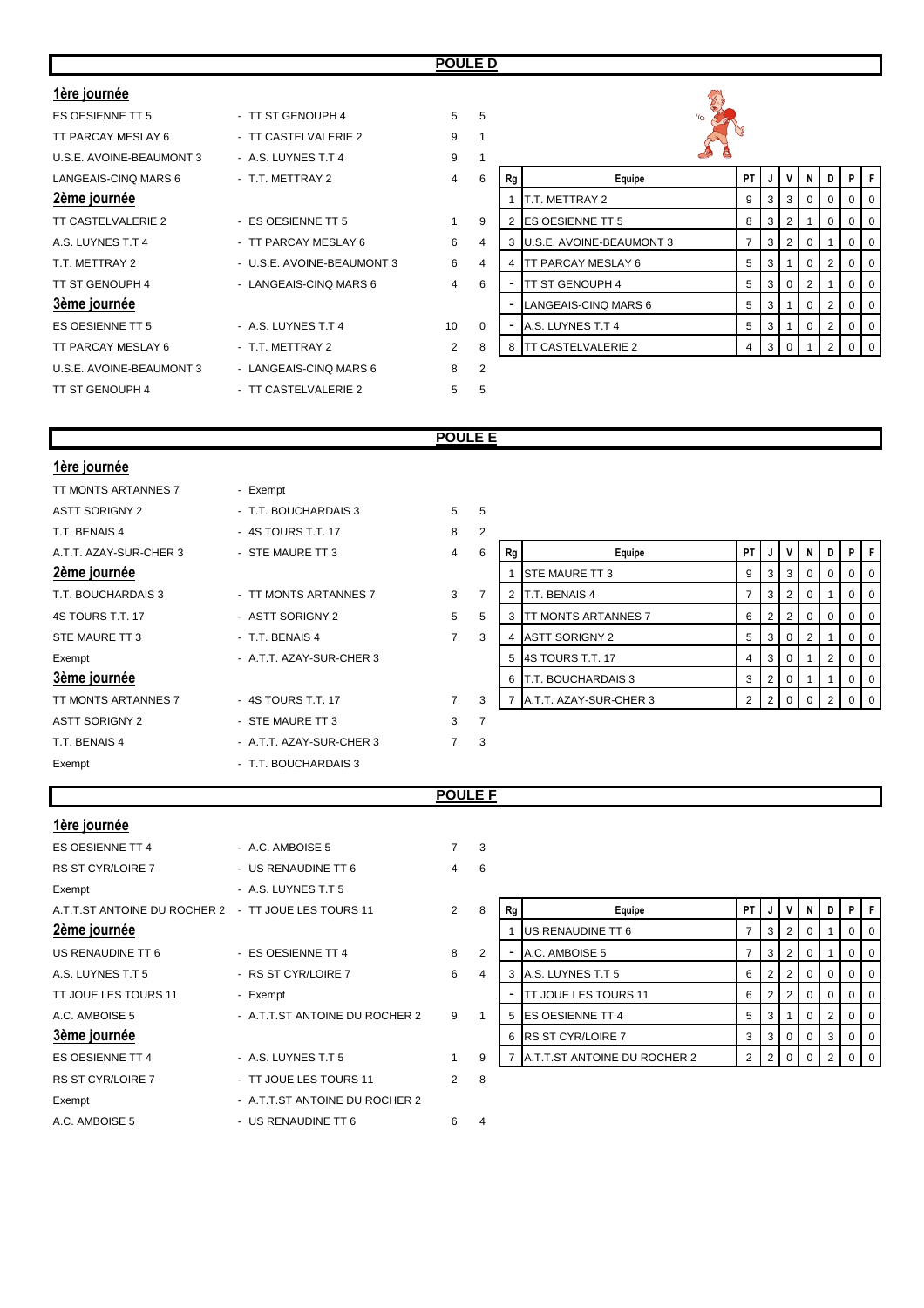| 1ère journée             |                            |                 |                |    |                           |      |                |   |                |                |             |  |
|--------------------------|----------------------------|-----------------|----------------|----|---------------------------|------|----------------|---|----------------|----------------|-------------|--|
| ES OESIENNE TT 5         | - TT ST GENOUPH 4          | 5 <sup>1</sup>  | -5             |    | $\gamma_{\rm O}$          |      |                |   |                |                |             |  |
| TT PARCAY MESLAY 6       | - TT CASTELVALERIE 2       | 9               | $\overline{1}$ |    |                           |      |                |   |                |                |             |  |
| U.S.E. AVOINE-BEAUMONT 3 | - A.S. LUYNES T.T 4        | 9               |                |    |                           |      |                |   |                |                |             |  |
| LANGEAIS-CINQ MARS 6     | - T.T. METTRAY 2           | $\overline{4}$  | 6              | Rg | Equipe                    | PT I | J              | V | N              | D              | <b>P</b>    |  |
| 2ème journée             |                            |                 |                |    | T.T. METTRAY 2            | 9    | 3              | 3 | $\mathbf{0}$   | $\overline{0}$ |             |  |
| TT CASTELVALERIE 2       | - ES OESIENNE TT 5         |                 | 9              |    | <b>ES OESIENNE TT 5</b>   | 8    | 3              | 2 |                | $\overline{0}$ | 0           |  |
| A.S. LUYNES T.T 4        | - TT PARCAY MESLAY 6       | 6               | 4              |    | U.S.E. AVOINE-BEAUMONT 3  |      | 3              | 2 | $\mathbf{0}$   |                |             |  |
| T.T. METTRAY 2           | - U.S.E. AVOINE-BEAUMONT 3 | 6               | $\overline{4}$ |    | <b>TT PARCAY MESLAY 6</b> | 5    | 3              |   | $\overline{0}$ | 2 <sup>1</sup> |             |  |
| TT ST GENOUPH 4          | - LANGEAIS-CINQ MARS 6     | $\overline{4}$  | 6              |    | ITT ST GENOUPH 4          | 5    | 3              | 0 | 2              |                |             |  |
| 3ème journée             |                            |                 |                |    | LANGEAIS-CINQ MARS 6      | 5    | 3 <sup>1</sup> |   | $\overline{0}$ | 2 <sup>1</sup> | 0           |  |
| ES OESIENNE TT 5         | - A.S. LUYNES T.T 4        | 10 <sup>°</sup> | $\mathbf 0$    |    | A.S. LUYNES T.T 4         | 5    | 3              |   | 0              | 2 <sup>1</sup> | 0           |  |
| TT PARCAY MESLAY 6       | - T.T. METTRAY 2           | $\overline{2}$  | 8              |    | 8 TT CASTELVALERIE 2      | 4    | $\mathbf{3}$   | 0 |                | 2 <sup>1</sup> | $\mathbf 0$ |  |
| U.S.E. AVOINE-BEAUMONT 3 | - LANGEAIS-CINQ MARS 6     | 8               | $\overline{2}$ |    |                           |      |                |   |                |                |             |  |
| TT ST GENOUPH 4          | - TT CASTELVALERIE 2       | 5               | 5              |    |                           |      |                |   |                |                |             |  |

## **POULE E**

| 1ère journée           |                          |                |                |    |                             |                |   |                |                |             |    |    |
|------------------------|--------------------------|----------------|----------------|----|-----------------------------|----------------|---|----------------|----------------|-------------|----|----|
| TT MONTS ARTANNES 7    | - Exempt                 |                |                |    |                             |                |   |                |                |             |    |    |
| <b>ASTT SORIGNY 2</b>  | - T.T. BOUCHARDAIS 3     | 5 <sup>5</sup> | 5              |    |                             |                |   |                |                |             |    |    |
| T.T. BENAIS 4          | - 4S TOURS T.T. 17       | 8              | $\overline{2}$ |    |                             |                |   |                |                |             |    |    |
| A.T.T. AZAY-SUR-CHER 3 | - STE MAURE TT 3         | $\overline{4}$ | 6              | Rg | Equipe                      | <b>PT</b>      | J | V              | N              | D           | PF |    |
| 2ème journée           |                          |                |                |    | <b>STE MAURE TT 3</b>       | 9              | 3 | 3              | $\overline{0}$ | $\mathbf 0$ | 0  | -0 |
| T.T. BOUCHARDAIS 3     | - TT MONTS ARTANNES 7    | 3              | $\overline{7}$ |    | T.T. BENAIS 4               | $\overline{7}$ | 3 | $\overline{2}$ | $\overline{0}$ |             | 0  | O  |
| 4S TOURS T.T. 17       | - ASTT SORIGNY 2         | 5              | 5              | 3  | <b>ITT MONTS ARTANNES 7</b> | 6              | 2 | $\overline{2}$ | $\overline{0}$ | $\mathbf 0$ | 0  | O  |
| STE MAURE TT 3         | - T.T. BENAIS 4          | $\overline{7}$ | 3              |    | <b>ASTT SORIGNY 2</b>       | 5              | 3 | $\mathbf{0}$   | 2 <sup>1</sup> |             | 0  | O  |
| Exempt                 | - A.T.T. AZAY-SUR-CHER 3 |                |                |    | 5 4S TOURS T.T. 17          | 4              | 3 | $\mathbf{0}$   |                | 2           | 0  | O  |
| 3ème journée           |                          |                |                |    | 6 T.T. BOUCHARDAIS 3        | 3              | 2 | $\mathbf 0$    |                |             | 0  | O  |
| TT MONTS ARTANNES 7    | - 4S TOURS T.T. 17       | $\overline{7}$ | 3              |    | A.T.T. AZAY-SUR-CHER 3      | 2              | 2 | 0              | $\Omega$       |             |    |    |
| <b>ASTT SORIGNY 2</b>  | - STE MAURE TT 3         | 3              | $\overline{7}$ |    |                             |                |   |                |                |             |    |    |
| T.T. BENAIS 4          | - A.T.T. AZAY-SUR-CHER 3 | $\overline{7}$ | 3              |    |                             |                |   |                |                |             |    |    |
| Exempt                 | - T.T. BOUCHARDAIS 3     |                |                |    |                             |                |   |                |                |             |    |    |

# **POULE F**

| 1ère journée                                        |                                |                |                |    |                                |                |                |                |                |                |                |     |
|-----------------------------------------------------|--------------------------------|----------------|----------------|----|--------------------------------|----------------|----------------|----------------|----------------|----------------|----------------|-----|
| ES OESIENNE TT 4                                    | - A.C. AMBOISE 5               | $\overline{7}$ | 3              |    |                                |                |                |                |                |                |                |     |
| <b>RS ST CYR/LOIRE 7</b>                            | - US RENAUDINE TT 6            | $\overline{4}$ | 6              |    |                                |                |                |                |                |                |                |     |
| Exempt                                              | - A.S. LUYNES T.T 5            |                |                |    |                                |                |                |                |                |                |                |     |
| A.T.T.ST ANTOINE DU ROCHER 2 - TT JOUE LES TOURS 11 |                                | $\overline{2}$ | 8              | Rg | Equipe                         | <b>PT</b>      | J              | v              | N              | $\blacksquare$ | PF             |     |
| 2ème journée                                        |                                |                |                |    | US RENAUDINE TT 6              |                | 3              | 2              | $\overline{0}$ |                | $\overline{0}$ | - C |
| US RENAUDINE TT 6                                   | - ES OESIENNE TT 4             | 8              | $\overline{2}$ |    | A.C. AMBOISE 5                 | $\overline{7}$ | 3              | $\overline{2}$ | $\overline{0}$ |                | $\overline{0}$ | - 0 |
| A.S. LUYNES T.T 5                                   | - RS ST CYR/LOIRE 7            | 6              | $\overline{4}$ |    | A.S. LUYNES T.T 5              | 6              | 2              | 2              | 0 <sup>1</sup> | 0              | $\mathbf{0}$   |     |
| <b>TT JOUE LES TOURS 11</b>                         | - Exempt                       |                |                |    | <b>ITT JOUE LES TOURS 11</b>   | 6              | $\overline{2}$ | $\overline{2}$ | $\overline{0}$ | $\mathbf{0}$   | 0 <sup>1</sup> | - 0 |
| A.C. AMBOISE 5                                      | - A.T.T.ST ANTOINE DU ROCHER 2 | 9              | $\overline{1}$ |    | 5 ES OESIENNE TT 4             | 5              | 3              |                | 0              | 2              | 0              |     |
| 3ème journée                                        |                                |                |                |    | 6 RS ST CYR/LOIRE 7            | 3              | 3              | $\overline{0}$ | $\overline{0}$ | 3              | 0              | O   |
| ES OESIENNE TT 4                                    | - A.S. LUYNES T.T 5            | 1              | 9              |    | 7 A.T.T.ST ANTOINE DU ROCHER 2 | 2              | 2              | $\mathbf{0}$   | $\Omega$       |                |                |     |
| <b>RS ST CYR/LOIRE 7</b>                            | - TT JOUE LES TOURS 11         | $\overline{2}$ | 8              |    |                                |                |                |                |                |                |                |     |
| Exempt                                              | - A.T.T.ST ANTOINE DU ROCHER 2 |                |                |    |                                |                |                |                |                |                |                |     |
| A.C. AMBOISE 5                                      | - US RENAUDINE TT 6            | 6              | 4              |    |                                |                |                |                |                |                |                |     |

| 8 | Rg | Equipe                       | PT | J              | v        | N        | D              | P |  |
|---|----|------------------------------|----|----------------|----------|----------|----------------|---|--|
|   | 1  | US RENAUDINE TT 6            | 7  | 3              | 2        | 0        |                |   |  |
| 2 |    | A.C. AMBOISE 5               | 7  | 3              | 2        | $\Omega$ |                |   |  |
| 4 | 3  | A.S. LUYNES T.T 5            | 6  | 2              | 2        | 0        | 0              |   |  |
|   |    | <b>TT JOUE LES TOURS 11</b>  | 6  | $\overline{2}$ | 2        | $\Omega$ | 0              | O |  |
| 1 | 5  | ES OESIENNE TT 4             | 5  | 3              | 1        | 0        | 2              |   |  |
|   | 6  | <b>RS ST CYR/LOIRE 7</b>     | 3  | 3              | $\Omega$ | $\Omega$ | 3              | 0 |  |
| 9 |    | A.T.T.ST ANTOINE DU ROCHER 2 | 2  | 2              | ∩        | O        | $\mathfrak{p}$ |   |  |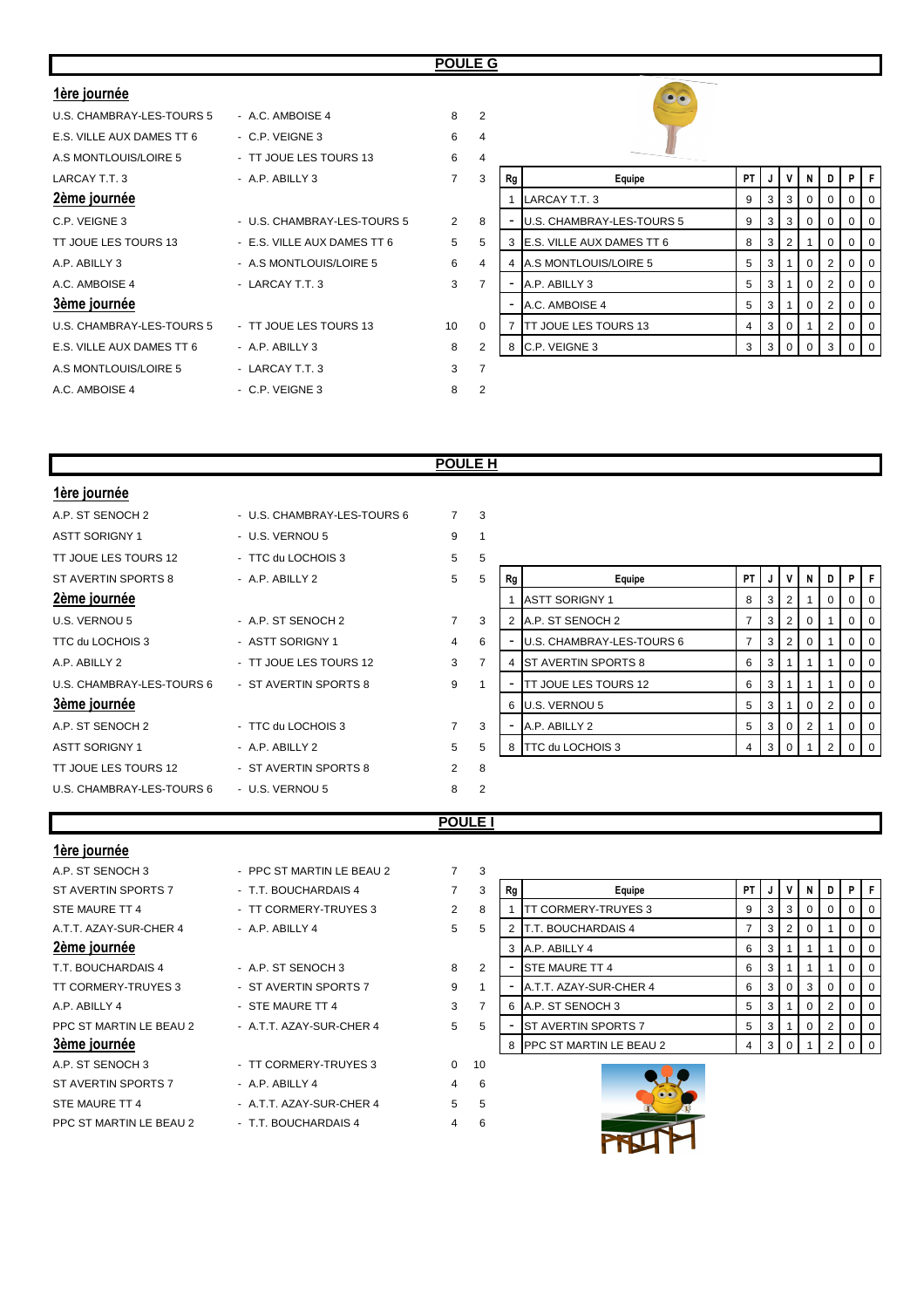## **POULE G**

| 1ère journée              |                             |                 |                |    | $\bullet \bullet$            |           |    |              |                |              |          |  |
|---------------------------|-----------------------------|-----------------|----------------|----|------------------------------|-----------|----|--------------|----------------|--------------|----------|--|
| U.S. CHAMBRAY-LES-TOURS 5 | - A.C. AMBOISE 4            | 8               | $\overline{2}$ |    |                              |           |    |              |                |              |          |  |
| E.S. VILLE AUX DAMES TT 6 | - C.P. VEIGNE 3             | 6               | $\overline{4}$ |    |                              |           |    |              |                |              |          |  |
| A.S MONTLOUIS/LOIRE 5     | - TT JOUE LES TOURS 13      | 6               | $\overline{4}$ |    |                              |           |    |              |                |              |          |  |
| LARCAY T.T. 3             | - A.P. ABILLY 3             | $\overline{7}$  | 3              | Rg | Equipe                       | <b>PT</b> |    |              | N I            | D            | P.       |  |
| 2ème journée              |                             |                 |                |    | LARCAY T.T. 3                | 9         | -3 | 3            | 0 <sup>1</sup> | $\mathbf{0}$ |          |  |
| C.P. VEIGNE 3             | - U.S. CHAMBRAY-LES-TOURS 5 | $\overline{2}$  | 8              |    | U.S. CHAMBRAY-LES-TOURS 5    | 9         | 3  | 3            | $\overline{0}$ | $\Omega$     |          |  |
| TT JOUE LES TOURS 13      | - E.S. VILLE AUX DAMES TT 6 | $5^{\circ}$     | 5              | 3  | E.S. VILLE AUX DAMES TT 6    | 8         | -3 | 2            |                | $\Omega$     | $\Omega$ |  |
| A.P. ABILLY 3             | - A.S MONTLOUIS/LOIRE 5     | 6               | $\overline{4}$ |    | A.S MONTLOUIS/LOIRE 5        | 5         |    |              | 0              |              |          |  |
| A.C. AMBOISE 4            | - LARCAY T.T. 3             | 3               | $\overline{7}$ |    | A.P. ABILLY 3                | 5         | -3 |              | $\Omega$       |              | $\Omega$ |  |
| 3ème journée              |                             |                 |                |    | A.C. AMBOISE 4               | 5         | -3 |              |                |              |          |  |
| U.S. CHAMBRAY-LES-TOURS 5 | - TT JOUE LES TOURS 13      | 10 <sup>1</sup> | $\mathbf 0$    |    | <b>ITT JOUE LES TOURS 13</b> | 4         | 3  | $\Omega$     |                |              |          |  |
| E.S. VILLE AUX DAMES TT 6 | - A.P. ABILLY 3             | 8               | 2              |    | 8 C.P. VEIGNE 3              | 3         | -3 | $\mathbf{0}$ | $\overline{0}$ |              |          |  |
| A.S MONTLOUIS/LOIRE 5     | - LARCAY T.T. 3             | 3               | $\overline{7}$ |    |                              |           |    |              |                |              |          |  |
| A.C. AMBOISE 4            | - C.P. VEIGNE 3             | 8               | $\overline{2}$ |    |                              |           |    |              |                |              |          |  |

| 2<br>4<br>$\overline{4}$ |    |                           |    |   |                |          |                |          |          |
|--------------------------|----|---------------------------|----|---|----------------|----------|----------------|----------|----------|
| 3                        | Rg | Equipe                    | PT | J | ٧              | N        | D              | P        | F        |
|                          | 1  | LARCAY T.T. 3             | 9  | 3 | 3              | $\Omega$ | $\Omega$       | 0        | $\Omega$ |
| 8                        | ۰  | U.S. CHAMBRAY-LES-TOURS 5 | 9  | 3 | 3              | $\Omega$ | $\Omega$       | 0        | $\Omega$ |
| 5                        | 3  | E.S. VILLE AUX DAMES TT 6 | 8  | 3 | $\overline{2}$ | 1        | $\Omega$       | $\Omega$ | $\Omega$ |
| 4                        | 4  | A.S MONTLOUIS/LOIRE 5     | 5  | 3 | 1              | $\Omega$ | $\overline{2}$ | 0        | $\Omega$ |
| $\overline{7}$           |    | A.P. ABILLY 3             | 5  | 3 | 1              | $\Omega$ | $\overline{2}$ | $\Omega$ | $\Omega$ |
|                          | -  | A.C. AMBOISE 4            | 5  | 3 | 1              | $\Omega$ | $\overline{2}$ | $\Omega$ | $\Omega$ |
| $\Omega$                 | 7  | TT JOUE LES TOURS 13      | 4  | 3 | $\Omega$       | 1        | $\overline{2}$ | 0        | $\Omega$ |
| 2                        | 8  | C.P. VEIGNE 3             | 3  | 3 | $\Omega$       | $\Omega$ | 3              | $\Omega$ | $\Omega$ |
| 7                        |    |                           |    |   |                |          |                |          |          |

## **POULE H**

| 1ère journée              |                           |                |                |    |                              |                |                |                |          |                |                |                |
|---------------------------|---------------------------|----------------|----------------|----|------------------------------|----------------|----------------|----------------|----------|----------------|----------------|----------------|
| A.P. ST SENOCH 2          | U.S. CHAMBRAY-LES-TOURS 6 | 7              | 3              |    |                              |                |                |                |          |                |                |                |
| <b>ASTT SORIGNY 1</b>     | - U.S. VERNOU 5           | 9              |                |    |                              |                |                |                |          |                |                |                |
| TT JOUE LES TOURS 12      | - TTC du LOCHOIS 3        | 5              | 5              |    |                              |                |                |                |          |                |                |                |
| ST AVERTIN SPORTS 8       | $-$ A.P. ABILLY 2         | 5              | 5              | Rg | Equipe                       | <b>PT</b>      |                | ۷              | N        | D              | P              | I F            |
| 2ème journée              |                           |                |                |    | <b>ASTT SORIGNY 1</b>        | 8              | 3              | 2              |          | 0              | $\overline{0}$ | 0              |
| U.S. VERNOU 5             | - A.P. ST SENOCH 2        | $\overline{7}$ | 3              | 2  | A.P. ST SENOCH 2             | 7              | 3              | 2              | 0        |                | $0$   0        |                |
| TTC du LOCHOIS 3          | - ASTT SORIGNY 1          | 4              | 6              |    | U.S. CHAMBRAY-LES-TOURS 6    | $\overline{7}$ | 3              | $\overline{2}$ | $\Omega$ |                | $01$ 0         |                |
| A.P. ABILLY 2             | - TT JOUE LES TOURS 12    | 3              | $\overline{7}$ |    | <b>ST AVERTIN SPORTS 8</b>   | 6              | 3              |                |          |                | $01$ 0         |                |
| U.S. CHAMBRAY-LES-TOURS 6 | - ST AVERTIN SPORTS 8     | 9              |                | ٠. | <b>ITT JOUE LES TOURS 12</b> | 6              | 3              |                |          |                | $\mathbf{0}$   | $\overline{0}$ |
| 3ème journée              |                           |                |                |    | 6 U.S. VERNOU 5              | 5              | 3              |                | 0        | 2              | $0$   0        |                |
| A.P. ST SENOCH 2          | - TTC du LOCHOIS 3        | $\overline{7}$ | 3              | ۰. | A.P. ABILLY 2                | 5              | 3              | 0              | 2        |                | $01$ 0         |                |
| <b>ASTT SORIGNY 1</b>     | - A.P. ABILLY 2           | 5              | 5              | 8  | TTC du LOCHOIS 3             | 4              | 3 <sup>1</sup> | 0              |          | 2 <sup>1</sup> | $01$ 0         |                |
| TT JOUE LES TOURS 12      | - ST AVERTIN SPORTS 8     | $\overline{2}$ | 8              |    |                              |                |                |                |          |                |                |                |
| U.S. CHAMBRAY-LES-TOURS 6 | - U.S. VERNOU 5           | 8              | $\overline{2}$ |    |                              |                |                |                |          |                |                |                |
|                           |                           | <b>POULE I</b> |                |    |                              |                |                |                |          |                |                |                |

## **1ère journée**

| A.P. ST SENOCH 3        | - PPC ST MARTIN LE BEAU 2 |                | 3              |    |                            |           |    |                |                |   |          |                  |
|-------------------------|---------------------------|----------------|----------------|----|----------------------------|-----------|----|----------------|----------------|---|----------|------------------|
| ST AVERTIN SPORTS 7     | - T.T. BOUCHARDAIS 4      | $\overline{7}$ | 3              | Rg | Equipe                     | <b>PT</b> | J  |                | N              | D | PIF      |                  |
| STE MAURE TT 4          | - TT CORMERY-TRUYES 3     | $\overline{2}$ | 8              |    | TT CORMERY-TRUYES 3        | 9         | -3 | 3              | $\overline{O}$ |   |          |                  |
| A.T.T. AZAY-SUR-CHER 4  | $-$ A.P. ABILLY 4         | 5              | 5              |    | <b>T.T. BOUCHARDAIS 4</b>  |           | 3  | 2              | 0              |   |          |                  |
| 2ème journée            |                           |                |                |    | 3 A.P. ABILLY 4            | 6         | -3 |                |                |   | $\Omega$ | - 0              |
| T.T. BOUCHARDAIS 4      | - A.P. ST SENOCH 3        | 8              | 2              |    | <b>STE MAURE TT 4</b>      | 6         | -3 |                |                |   |          | - U              |
| TT CORMERY-TRUYES 3     | - ST AVERTIN SPORTS 7     | 9              |                |    | A.T.T. AZAY-SUR-CHER 4     | 6         | -3 | $\overline{0}$ | 3 I            |   |          | - 0              |
| A.P. ABILLY 4           | - STE MAURE TT 4          | 3              | $\overline{7}$ | 6  | A.P. ST SENOCH 3           | 5         | -3 |                | 0 <sup>1</sup> |   |          |                  |
| PPC ST MARTIN LE BEAU 2 | - A.T.T. AZAY-SUR-CHER 4  | 5              | 5              |    | <b>ST AVERTIN SPORTS 7</b> | 5         | -3 |                | 0 <sup>1</sup> | 2 |          |                  |
| 3ème journée            |                           |                |                |    | 8 PPC ST MARTIN LE BEAU 2  | 4         | 3  |                |                |   |          | $\overline{1}$ 0 |
| A.P. ST SENOCH 3        | - TT CORMERY-TRUYES 3     | $\Omega$       | 10             |    |                            |           |    |                |                |   |          |                  |
| ST AVERTIN SPORTS 7     | - A.P. ABILLY 4           | $\overline{4}$ | 6              |    |                            |           |    |                |                |   |          |                  |
| STE MAURE TT 4          | - A.T.T. AZAY-SUR-CHER 4  | 5              | 5              |    |                            |           |    |                |                |   |          |                  |
| PPC ST MARTIN LE BEAU 2 | - T.T. BOUCHARDAIS 4      | 4              | 6              |    |                            |           |    |                |                |   |          |                  |
|                         |                           |                |                |    |                            |           |    |                |                |   |          |                  |

| ٮ |    |                            |    |   |   |          |   |   |   |
|---|----|----------------------------|----|---|---|----------|---|---|---|
| 3 | Rg | Equipe                     | ΡT | J | ٧ | N        | D | P |   |
| 8 | 1  | TT CORMERY-TRUYES 3        | 9  | 3 | 3 | 0        | 0 | 0 |   |
| 5 | 2  | T.T. BOUCHARDAIS 4         | 7  | 3 | 2 | 0        |   | 0 |   |
|   | 3  | A.P. ABILLY 4              | 6  | 3 | 1 | 1        |   | 0 |   |
| 2 |    | STE MAURE TT 4             | 6  | 3 | 1 | 1        |   | 0 | 0 |
| 1 |    | A.T.T. AZAY-SUR-CHER 4     | 6  | 3 | 0 | 3        | 0 | 0 | 0 |
| 7 | 6  | A.P. ST SENOCH 3           | 5  | 3 | 1 | $\Omega$ | 2 | 0 | 0 |
| 5 |    | <b>ST AVERTIN SPORTS 7</b> | 5  | 3 | 1 | 0        | 2 | 0 | 0 |
|   | 8  | PPC ST MARTIN LE BEAU 2    | 4  | 3 | 0 | 1        | 2 |   |   |

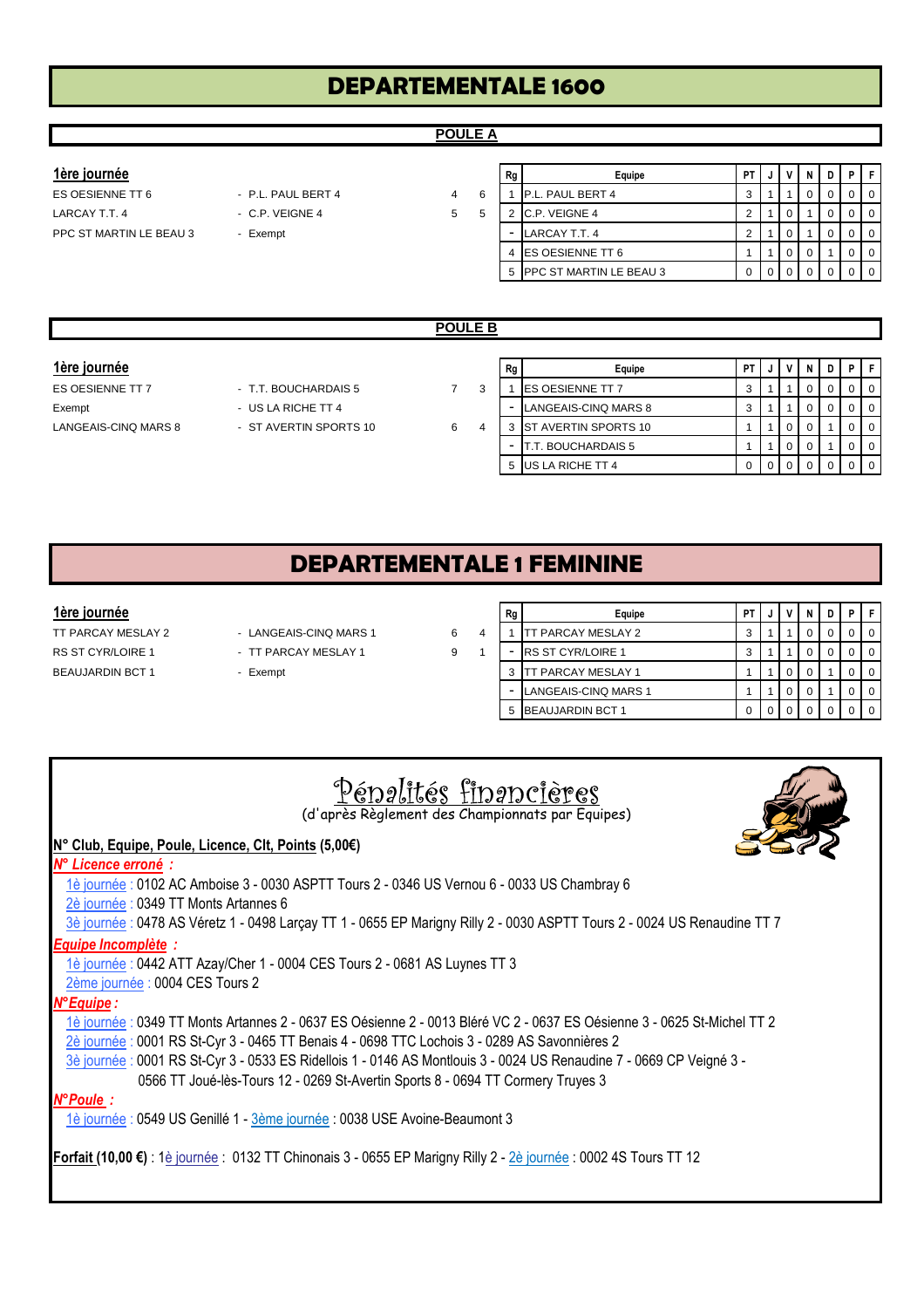## **POULE A**

| <u>1ère journée</u>     |                    |    | Rg                       | Equipe                    | PT I |  |  | <b>PIF</b> |                |
|-------------------------|--------------------|----|--------------------------|---------------------------|------|--|--|------------|----------------|
| ES OESIENNE TT 6        | - P.L. PAUL BERT 4 | 4  |                          | <b>P.L. PAUL BERT 4</b>   |      |  |  |            | $\overline{0}$ |
| LARCAY T.T. 4           | $-$ C.P. VEIGNE 4  | 5. |                          | C.P. VEIGNE 4             |      |  |  |            | I 0            |
| PPC ST MARTIN LE BEAU 3 | - Exempt           |    | $\overline{\phantom{a}}$ | LARCAY T.T. 4             |      |  |  |            | I O            |
|                         |                    |    |                          | <b>IES OESIENNE TT 6</b>  |      |  |  |            |                |
|                         |                    |    |                          | 5 PPC ST MARTIN LE BEAU 3 |      |  |  |            | I O            |

|                      |                        | <b>POULE B</b> |   |    |                             |      |                                               |   |   |             |
|----------------------|------------------------|----------------|---|----|-----------------------------|------|-----------------------------------------------|---|---|-------------|
|                      |                        |                |   |    |                             |      |                                               |   |   |             |
| 1ère journée         |                        |                |   | Rg | Equipe                      | PT I | $\mathsf{v}$                                  | N | D | PIF         |
| ES OESIENNE TT 7     | - T.T. BOUCHARDAIS 5   |                | 3 |    | <b>ES OESIENNE TT 7</b>     | 3    |                                               |   |   | I 0         |
| Exempt               | - US LA RICHE TT 4     |                |   |    | LANGEAIS-CINQ MARS 8        | 3    |                                               |   |   | I 0         |
| LANGEAIS-CINQ MARS 8 | - ST AVERTIN SPORTS 10 | 6              | 4 | 3  | <b>ST AVERTIN SPORTS 10</b> |      | $\circ$ 1                                     |   |   | <b>0</b>    |
|                      |                        |                |   |    | BOUCHARDAIS 5               |      | 0 <sup>1</sup>                                |   |   | $\mathbf 0$ |
|                      |                        |                |   | 5  | US LA RICHE TT 4            |      | $\begin{array}{c} \circ \\ \circ \end{array}$ |   |   | $\sqrt{0}$  |

# **DEPARTEMENTALE 1 FEMININE**

- 
- 
- 

| 1ère journée       |                        |   | Rg | Equipe                    | РT |  | D | -F             |
|--------------------|------------------------|---|----|---------------------------|----|--|---|----------------|
| TT PARCAY MESLAY 2 | - LANGEAIS-CINQ MARS 1 | 6 |    | PARCAY MESLAY 2           |    |  |   | $\overline{0}$ |
| RS ST CYR/LOIRE 1  | - TT PARCAY MESLAY 1   | 9 |    | <b>RS ST CYR/LOIRE 1</b>  |    |  |   | $\overline{0}$ |
| BEAUJARDIN BCT 1   | - Exempt               |   |    | <b>TT PARCAY MESLAY 1</b> |    |  |   | $\mathbf 0$    |
|                    |                        |   |    | LANGEAIS-CINQ MARS 1      |    |  |   | $\overline{0}$ |
|                    |                        |   |    | 5 BEAUJARDIN BCT 1        |    |  |   | $\overline{0}$ |

| Pépalités financières<br>(d'après Règlement des Championnats par Equipes)                                                |
|--------------------------------------------------------------------------------------------------------------------------|
| N° Club, Equipe, Poule, Licence, Clt, Points (5,00€)                                                                     |
| N° Licence erroné :                                                                                                      |
| 1è journée : 0102 AC Amboise 3 - 0030 ASPTT Tours 2 - 0346 US Vernou 6 - 0033 US Chambray 6                              |
| 2è journée : 0349 TT Monts Artannes 6                                                                                    |
| 3è journée : 0478 AS Véretz 1 - 0498 Larçay TT 1 - 0655 EP Marigny Rilly 2 - 0030 ASPTT Tours 2 - 0024 US Renaudine TT 7 |
| <b>Equipe Incomplète:</b>                                                                                                |
| 1è journée : 0442 ATT Azay/Cher 1 - 0004 CES Tours 2 - 0681 AS Luynes TT 3                                               |
| 2ème journée : 0004 CES Tours 2                                                                                          |
| N°Equipe:                                                                                                                |
| 1è journée : 0349 TT Monts Artannes 2 - 0637 ES Oésienne 2 - 0013 Bléré VC 2 - 0637 ES Oésienne 3 - 0625 St-Michel TT 2  |
| 2è journée : 0001 RS St-Cyr 3 - 0465 TT Benais 4 - 0698 TTC Lochois 3 - 0289 AS Savonnières 2                            |
| 3è journée : 0001 RS St-Cyr 3 - 0533 ES Ridellois 1 - 0146 AS Montlouis 3 - 0024 US Renaudine 7 - 0669 CP Veigné 3 -     |
| 0566 TT Joué-lès-Tours 12 - 0269 St-Avertin Sports 8 - 0694 TT Cormery Truyes 3                                          |
| N°Poule:                                                                                                                 |
| 1è journée : 0549 US Genillé 1 - 3ème journée : 0038 USE Avoine-Beaumont 3                                               |
| Forfait (10,00 €) : 1è journée : 0132 TT Chinonais 3 - 0655 EP Marigny Rilly 2 - 2è journée : 0002 4S Tours TT 12        |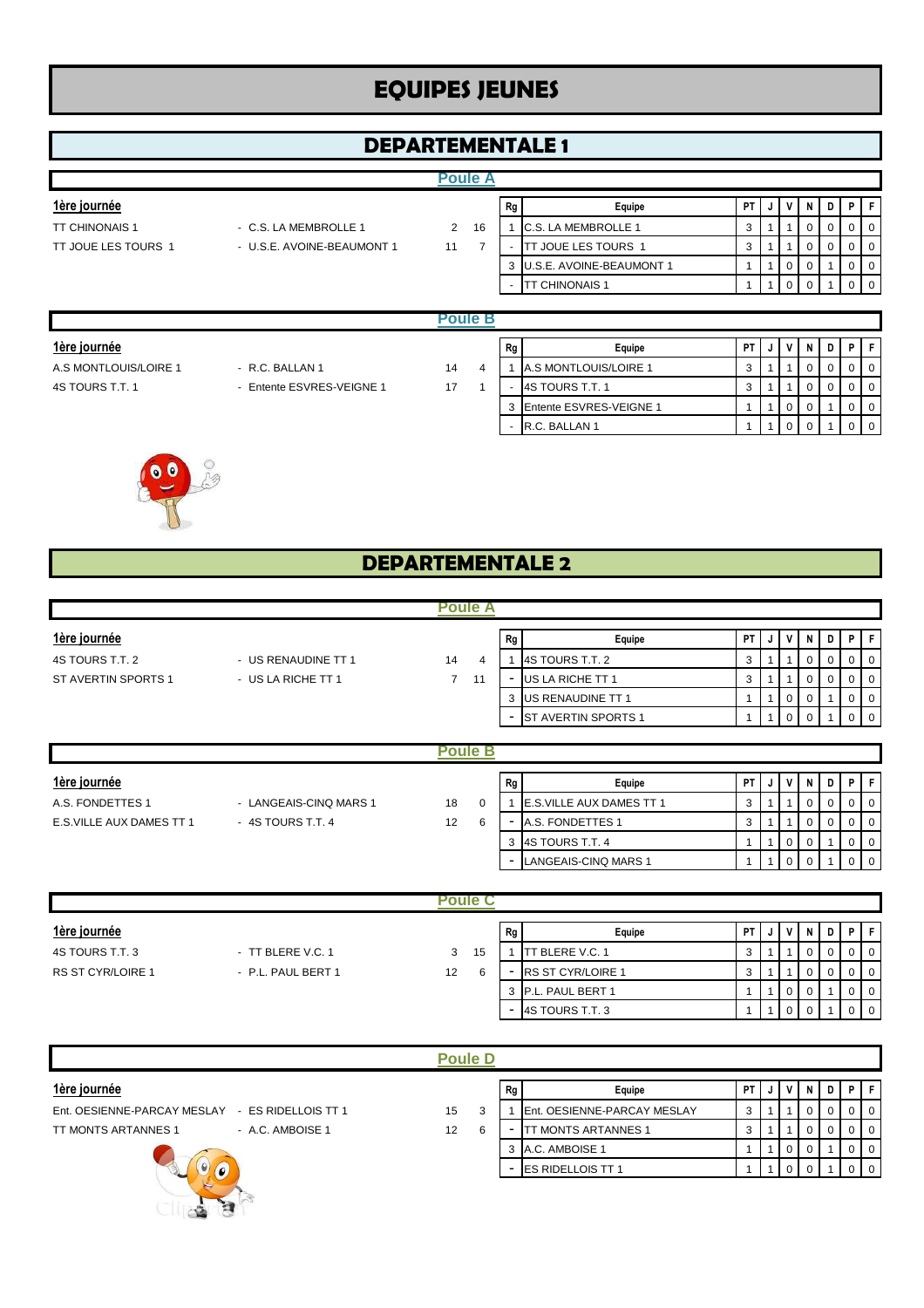# **EQUIPES JEUNES**

# **DEPARTEMENTALE 1**

#### **Poule A**

- TT CHINONAIS 1 C.S. LA MEMBROLLE 1 2
- TT JOUE LES TOURS 1 U.S.E. AVOINE-BEAUMONT 1 11

| 1ère journée        |                            |    |    | Rg | Equipe                     | РT | JI | VIN |  |  |
|---------------------|----------------------------|----|----|----|----------------------------|----|----|-----|--|--|
| TT CHINONAIS 1      | - C.S. LA MEMBROLLE 1      | 2  | 16 |    | C.S. LA MEMBROLLE 1        |    |    |     |  |  |
| TT JOUE LES TOURS 1 | - U.S.E. AVOINE-BEAUMONT 1 | 11 |    |    | JOUE LES TOURS 1           |    |    |     |  |  |
|                     |                            |    |    |    | 3 U.S.E. AVOINE-BEAUMONT 1 |    |    |     |  |  |
|                     |                            |    |    |    | <b><i>CHINONAIS 1</i></b>  |    |    |     |  |  |
|                     |                            |    |    |    |                            |    |    |     |  |  |

|                       |                           | Poule B |                          |                         |      |    |  |  |
|-----------------------|---------------------------|---------|--------------------------|-------------------------|------|----|--|--|
| 1ère journée          |                           |         | Rg                       | Equipe                  | PT I |    |  |  |
| A.S MONTLOUIS/LOIRE 1 | - R.C. BALLAN 1           | 14      |                          | A.S MONTLOUIS/LOIRE 1   | ۰J   |    |  |  |
| 4S TOURS T.T. 1       | - Entente ESVRES-VEIGNE 1 | 17      |                          | 4S TOURS T.T. 1         | ر    |    |  |  |
|                       |                           |         | 3                        | Entente ESVRES-VEIGNE 1 |      | O. |  |  |
|                       |                           |         | $\overline{\phantom{0}}$ | R.C. BALLAN 1           |      |    |  |  |



# **DEPARTEMENTALE 2**

|                     |                     | <b>Poule A</b> |        |    |                            |           |   |              |   |     |    |  |
|---------------------|---------------------|----------------|--------|----|----------------------------|-----------|---|--------------|---|-----|----|--|
| 1ère journée        |                     |                |        | Rg | Equipe                     | <b>PT</b> | J | V            | N | D I | P. |  |
| 4S TOURS T.T. 2     | - US RENAUDINE TT 1 | 14             | 4      |    | 4S TOURS T.T. 2            | 3         |   |              |   |     |    |  |
| ST AVERTIN SPORTS 1 | - US LA RICHE TT 1  | $7^{\circ}$    | 11     |    | US LA RICHE TT 1           | 3         |   |              |   |     |    |  |
|                     |                     |                |        | 3  | US RENAUDINE TT 1          |           |   | $\mathbf{0}$ |   |     |    |  |
|                     |                     |                |        |    | <b>ST AVERTIN SPORTS 1</b> |           |   | $\Omega$     |   |     |    |  |
|                     |                     |                |        |    |                            |           |   |              |   |     |    |  |
|                     |                     |                | oule B |    |                            |           |   |              |   |     |    |  |

| 1ère journée              |                        |    |   | Rg | Equipe                           | <b>PT</b> | v              | N |  |  |
|---------------------------|------------------------|----|---|----|----------------------------------|-----------|----------------|---|--|--|
| A.S. FONDETTES 1          | - LANGEAIS-CINQ MARS 1 | 18 |   |    | <b>E.S. VILLE AUX DAMES TT 1</b> | J         |                |   |  |  |
| E.S. VILLE AUX DAMES TT 1 | - 4S TOURS T.T. 4      | 12 | 6 |    | A.S. FONDETTES 1                 | J         |                |   |  |  |
|                           |                        |    |   |    | 3 4S TOURS T.T. 4                |           | $\overline{0}$ |   |  |  |
|                           |                        |    |   |    | LANGEAIS-CINQ MARS 1             |           | 0              |   |  |  |

|                          |                    | ule                     |    |                             |      |    |  |   |                |
|--------------------------|--------------------|-------------------------|----|-----------------------------|------|----|--|---|----------------|
| 1ère journée             |                    |                         | Rg | Equipe                      | PT I | J. |  | D | PIF            |
| 4S TOURS T.T. 3          | - TT BLERE V.C. 1  | 15<br>3                 |    | <b>TBLERE V.C. 1</b><br>،TT |      |    |  |   | $\mathbf{0}$   |
| <b>RS ST CYR/LOIRE 1</b> | - P.L. PAUL BERT 1 | $12 \overline{ }$<br>-6 |    | <b>RS ST CYR/LOIRE 1</b>    | رب   |    |  |   |                |
|                          |                    |                         | 3  | P.L. PAUL BERT 1            |      |    |  |   | $\mathbf{0}$   |
|                          |                    |                         | -  | 4S TOURS T.T. 3             |      |    |  |   | $\overline{0}$ |

|                                                    | <b>Poule D</b> |   |    |                             |           |  |  |  |
|----------------------------------------------------|----------------|---|----|-----------------------------|-----------|--|--|--|
| 1ère journée                                       |                |   | Rg | Equipe                      | <b>PT</b> |  |  |  |
| Ent. OESIENNE-PARCAY MESLAY<br>- ES RIDELLOIS TT 1 | 15             |   |    | Ent. OESIENNE-PARCAY MESLAY | 3         |  |  |  |
| <b>TT MONTS ARTANNES 1</b><br>- A.C. AMBOISE 1     | 12             | 6 | ۰  | <b>TT MONTS ARTANNES 1</b>  | 3         |  |  |  |
|                                                    |                |   |    | A.C. AMBOISE 1              |           |  |  |  |
|                                                    |                |   | -  | <b>ES RIDELLOIS TT 1</b>    |           |  |  |  |